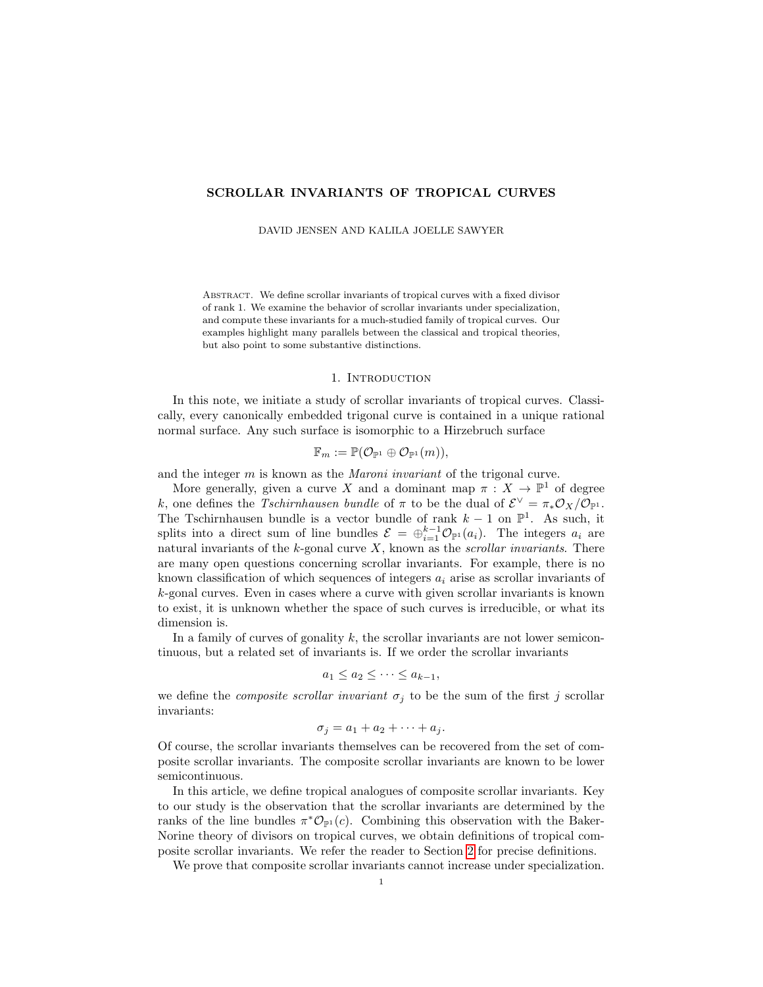# SCROLLAR INVARIANTS OF TROPICAL CURVES

DAVID JENSEN AND KALILA JOELLE SAWYER

Abstract. We define scrollar invariants of tropical curves with a fixed divisor of rank 1. We examine the behavior of scrollar invariants under specialization, and compute these invariants for a much-studied family of tropical curves. Our examples highlight many parallels between the classical and tropical theories, but also point to some substantive distinctions.

### 1. INTRODUCTION

In this note, we initiate a study of scrollar invariants of tropical curves. Classically, every canonically embedded trigonal curve is contained in a unique rational normal surface. Any such surface is isomorphic to a Hirzebruch surface

$$
\mathbb{F}_m := \mathbb{P}(\mathcal{O}_{\mathbb{P}^1} \oplus \mathcal{O}_{\mathbb{P}^1}(m)),
$$

and the integer m is known as the Maroni invariant of the trigonal curve.

More generally, given a curve X and a dominant map  $\pi : X \to \mathbb{P}^1$  of degree k, one defines the Tschirnhausen bundle of  $\pi$  to be the dual of  $\mathcal{E}^{\vee} = \pi_* \mathcal{O}_X / \mathcal{O}_{\mathbb{P}^1}$ . The Tschirnhausen bundle is a vector bundle of rank  $k-1$  on  $\mathbb{P}^1$ . As such, it splits into a direct sum of line bundles  $\mathcal{E} = \bigoplus_{i=1}^{k-1} \mathcal{O}_{\mathbb{P}^1}(a_i)$ . The integers  $a_i$  are natural invariants of the  $k$ -gonal curve  $X$ , known as the *scrollar invariants*. There are many open questions concerning scrollar invariants. For example, there is no known classification of which sequences of integers  $a_i$  arise as scrollar invariants of k-gonal curves. Even in cases where a curve with given scrollar invariants is known to exist, it is unknown whether the space of such curves is irreducible, or what its dimension is.

In a family of curves of gonality  $k$ , the scrollar invariants are not lower semicontinuous, but a related set of invariants is. If we order the scrollar invariants

$$
a_1 \le a_2 \le \cdots \le a_{k-1},
$$

we define the *composite scrollar invariant*  $\sigma_j$  to be the sum of the first j scrollar invariants:

$$
\sigma_j = a_1 + a_2 + \cdots + a_j.
$$

Of course, the scrollar invariants themselves can be recovered from the set of composite scrollar invariants. The composite scrollar invariants are known to be lower semicontinuous.

In this article, we define tropical analogues of composite scrollar invariants. Key to our study is the observation that the scrollar invariants are determined by the ranks of the line bundles  $\pi^* \mathcal{O}_{\mathbb{P}^1}(c)$ . Combining this observation with the Baker-Norine theory of divisors on tropical curves, we obtain definitions of tropical composite scrollar invariants. We refer the reader to Section [2](#page-2-0) for precise definitions.

<span id="page-0-0"></span>We prove that composite scrollar invariants cannot increase under specialization.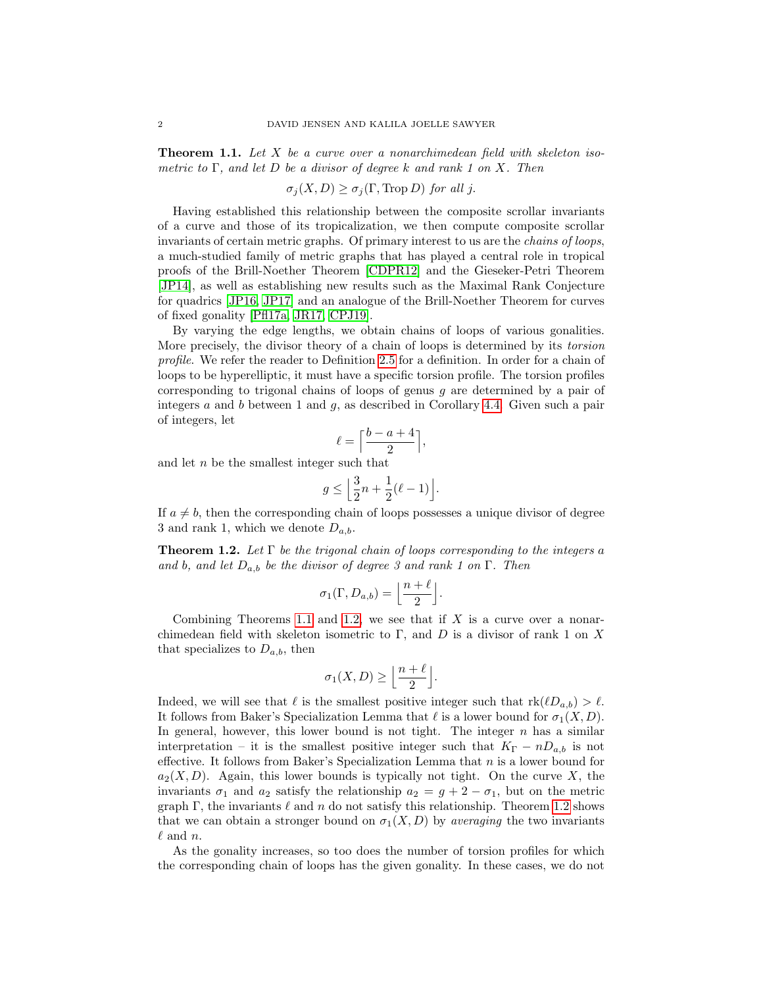**Theorem 1.1.** Let X be a curve over a nonarchimedean field with skeleton isometric to  $\Gamma$ , and let D be a divisor of degree k and rank 1 on X. Then

 $\sigma_i(X, D) \geq \sigma_i(\Gamma, \text{Trop } D)$  for all j.

Having established this relationship between the composite scrollar invariants of a curve and those of its tropicalization, we then compute composite scrollar invariants of certain metric graphs. Of primary interest to us are the chains of loops, a much-studied family of metric graphs that has played a central role in tropical proofs of the Brill-Noether Theorem [\[CDPR12\]](#page-19-0) and the Gieseker-Petri Theorem [\[JP14\]](#page-19-1), as well as establishing new results such as the Maximal Rank Conjecture for quadrics [\[JP16,](#page-19-2) [JP17\]](#page-19-3) and an analogue of the Brill-Noether Theorem for curves of fixed gonality [\[Pfl17a,](#page-19-4) [JR17,](#page-19-5) [CPJ19\]](#page-19-6).

By varying the edge lengths, we obtain chains of loops of various gonalities. More precisely, the divisor theory of a chain of loops is determined by its torsion profile. We refer the reader to Definition [2.5](#page-4-0) for a definition. In order for a chain of loops to be hyperelliptic, it must have a specific torsion profile. The torsion profiles corresponding to trigonal chains of loops of genus g are determined by a pair of integers  $a$  and  $b$  between 1 and  $g$ , as described in Corollary [4.4.](#page-8-0) Given such a pair of integers, let

$$
\ell = \Big\lceil \frac{b-a+4}{2} \Big\rceil,
$$

and let n be the smallest integer such that

$$
g \le \left\lfloor \frac{3}{2}n + \frac{1}{2}(\ell - 1) \right\rfloor.
$$

If  $a \neq b$ , then the corresponding chain of loops possesses a unique divisor of degree 3 and rank 1, which we denote  $D_{a,b}$ .

<span id="page-1-0"></span>**Theorem 1.2.** Let  $\Gamma$  be the trigonal chain of loops corresponding to the integers a and b, and let  $D_{a,b}$  be the divisor of degree 3 and rank 1 on  $\Gamma$ . Then

$$
\sigma_1(\Gamma, D_{a,b}) = \left\lfloor \frac{n+\ell}{2} \right\rfloor.
$$

Combining Theorems [1.1](#page-0-0) and [1.2,](#page-1-0) we see that if  $X$  is a curve over a nonarchimedean field with skeleton isometric to Γ, and D is a divisor of rank 1 on X that specializes to  $D_{a,b}$ , then

$$
\sigma_1(X,D) \ge \left\lfloor \frac{n+\ell}{2} \right\rfloor.
$$

Indeed, we will see that  $\ell$  is the smallest positive integer such that  $rk(\ell D_{a,b}) > \ell$ . It follows from Baker's Specialization Lemma that  $\ell$  is a lower bound for  $\sigma_1(X, D)$ . In general, however, this lower bound is not tight. The integer  $n$  has a similar interpretation – it is the smallest positive integer such that  $K_{\Gamma} - nD_{a,b}$  is not effective. It follows from Baker's Specialization Lemma that  $n$  is a lower bound for  $a_2(X, D)$ . Again, this lower bounds is typically not tight. On the curve X, the invariants  $\sigma_1$  and  $a_2$  satisfy the relationship  $a_2 = g + 2 - \sigma_1$ , but on the metric graph  $\Gamma$ , the invariants  $\ell$  and n do not satisfy this relationship. Theorem [1.2](#page-1-0) shows that we can obtain a stronger bound on  $\sigma_1(X, D)$  by *averaging* the two invariants  $\ell$  and n.

As the gonality increases, so too does the number of torsion profiles for which the corresponding chain of loops has the given gonality. In these cases, we do not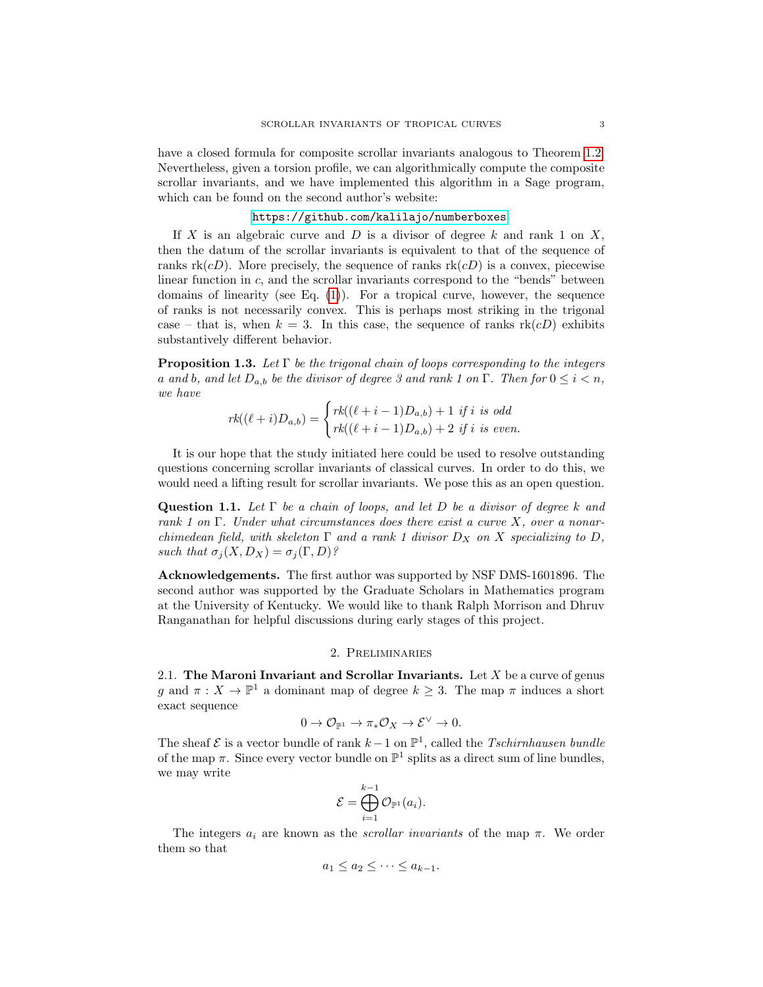have a closed formula for composite scrollar invariants analogous to Theorem [1.2.](#page-1-0) Nevertheless, given a torsion profile, we can algorithmically compute the composite scrollar invariants, and we have implemented this algorithm in a Sage program, which can be found on the second author's website:

### <https://github.com/kalilajo/numberboxes>.

If X is an algebraic curve and D is a divisor of degree k and rank 1 on  $X$ , then the datum of the scrollar invariants is equivalent to that of the sequence of ranks  $rk(cD)$ . More precisely, the sequence of ranks  $rk(cD)$  is a convex, piecewise linear function in c, and the scrollar invariants correspond to the "bends" between domains of linearity (see Eq.  $(1)$ ). For a tropical curve, however, the sequence of ranks is not necessarily convex. This is perhaps most striking in the trigonal case – that is, when  $k = 3$ . In this case, the sequence of ranks  $rk(cD)$  exhibits substantively different behavior.

**Proposition 1.3.** Let  $\Gamma$  be the trigonal chain of loops corresponding to the integers a and b, and let  $D_{a,b}$  be the divisor of degree 3 and rank 1 on  $\Gamma$ . Then for  $0 \leq i \leq n$ , we have

$$
rk((\ell+i)D_{a,b}) = \begin{cases} rk((\ell+i-1)D_{a,b}) + 1 \text{ if } i \text{ is odd} \\ rk((\ell+i-1)D_{a,b}) + 2 \text{ if } i \text{ is even.} \end{cases}
$$

It is our hope that the study initiated here could be used to resolve outstanding questions concerning scrollar invariants of classical curves. In order to do this, we would need a lifting result for scrollar invariants. We pose this as an open question.

**Question 1.1.** Let  $\Gamma$  be a chain of loops, and let D be a divisor of degree k and rank 1 on  $\Gamma$ . Under what circumstances does there exist a curve X, over a nonarchimedean field, with skeleton  $\Gamma$  and a rank 1 divisor  $D_X$  on X specializing to D, such that  $\sigma_j(X, D_X) = \sigma_j(\Gamma, D)$ ?

Acknowledgements. The first author was supported by NSF DMS-1601896. The second author was supported by the Graduate Scholars in Mathematics program at the University of Kentucky. We would like to thank Ralph Morrison and Dhruv Ranganathan for helpful discussions during early stages of this project.

# 2. Preliminaries

<span id="page-2-0"></span>2.1. The Maroni Invariant and Scrollar Invariants. Let  $X$  be a curve of genus g and  $\pi: X \to \mathbb{P}^1$  a dominant map of degree  $k \geq 3$ . The map  $\pi$  induces a short exact sequence

$$
0 \to \mathcal{O}_{\mathbb{P}^1} \to \pi_* \mathcal{O}_X \to \mathcal{E}^{\vee} \to 0.
$$

The sheaf  $\mathcal E$  is a vector bundle of rank  $k-1$  on  $\mathbb P^1$ , called the *Tschirnhausen bundle* of the map  $\pi$ . Since every vector bundle on  $\mathbb{P}^1$  splits as a direct sum of line bundles, we may write

$$
\mathcal{E} = \bigoplus_{i=1}^{k-1} \mathcal{O}_{\mathbb{P}^1}(a_i).
$$

The integers  $a_i$  are known as the *scrollar invariants* of the map  $\pi$ . We order them so that

$$
a_1 \le a_2 \le \cdots \le a_{k-1}.
$$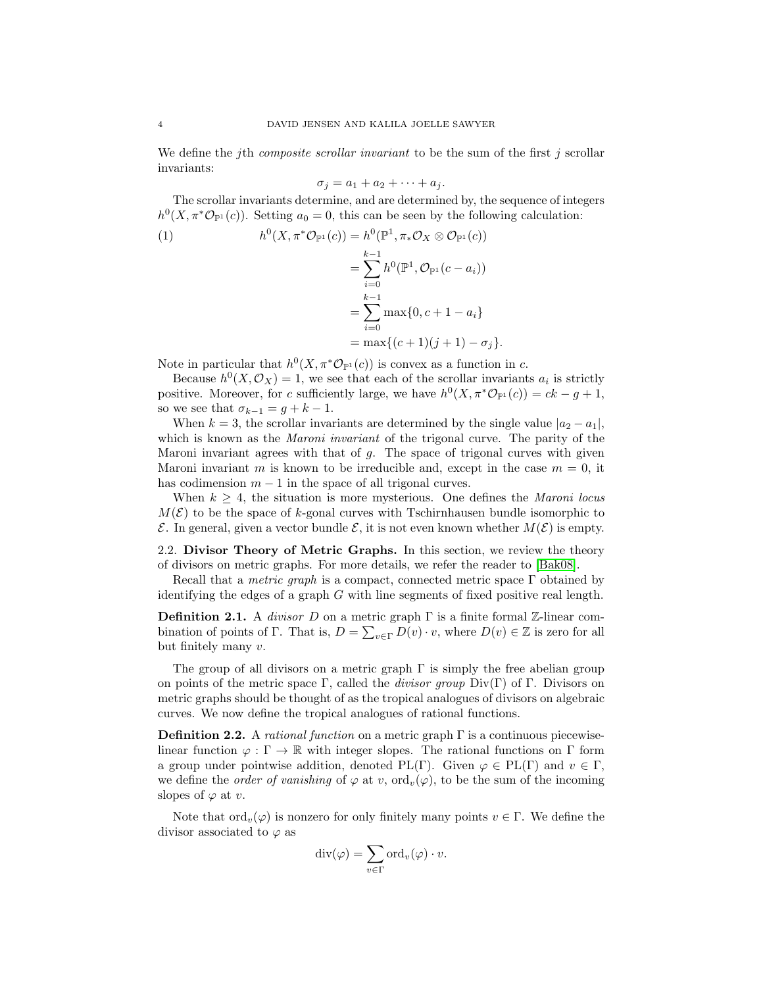We define the *j*th *composite scrollar invariant* to be the sum of the first *j* scrollar invariants:

$$
\sigma_j = a_1 + a_2 + \cdots + a_j.
$$

The scrollar invariants determine, and are determined by, the sequence of integers  $h^0(X, \pi^*\mathcal{O}_{\mathbb{P}^1}(c))$ . Setting  $a_0 = 0$ , this can be seen by the following calculation:

<span id="page-3-0"></span>(1) 
$$
h^0(X, \pi^*\mathcal{O}_{\mathbb{P}^1}(c)) = h^0(\mathbb{P}^1, \pi_*\mathcal{O}_X \otimes \mathcal{O}_{\mathbb{P}^1}(c))
$$

$$
= \sum_{i=0}^{k-1} h^{0}(\mathbb{P}^{1}, \mathcal{O}_{\mathbb{P}^{1}}(c - a_{i}))
$$
  
= 
$$
\sum_{i=0}^{k-1} \max\{0, c + 1 - a_{i}\}
$$
  
= 
$$
\max\{(c+1)(j+1) - \sigma_{j}\}.
$$

Note in particular that  $h^0(X, \pi^*\mathcal{O}_{\mathbb{P}^1}(c))$  is convex as a function in c.

Because  $h^0(X, \mathcal{O}_X) = 1$ , we see that each of the scrollar invariants  $a_i$  is strictly positive. Moreover, for c sufficiently large, we have  $h^0(X, \pi^*\mathcal{O}_{\mathbb{P}^1}(c)) = ck - g + 1$ , so we see that  $\sigma_{k-1} = g + k - 1$ .

When  $k = 3$ , the scrollar invariants are determined by the single value  $|a_2 - a_1|$ , which is known as the *Maroni invariant* of the trigonal curve. The parity of the Maroni invariant agrees with that of  $g$ . The space of trigonal curves with given Maroni invariant m is known to be irreducible and, except in the case  $m = 0$ , it has codimension  $m-1$  in the space of all trigonal curves.

When  $k \geq 4$ , the situation is more mysterious. One defines the *Maroni locus*  $M(\mathcal{E})$  to be the space of k-gonal curves with Tschirnhausen bundle isomorphic to  $\mathcal E$ . In general, given a vector bundle  $\mathcal E$ , it is not even known whether  $M(\mathcal E)$  is empty.

2.2. Divisor Theory of Metric Graphs. In this section, we review the theory of divisors on metric graphs. For more details, we refer the reader to [\[Bak08\]](#page-19-7).

Recall that a *metric graph* is a compact, connected metric space  $\Gamma$  obtained by identifying the edges of a graph  $G$  with line segments of fixed positive real length.

**Definition 2.1.** A *divisor D* on a metric graph  $\Gamma$  is a finite formal Z-linear combination of points of Γ. That is,  $D = \sum_{v \in \Gamma} D(v) \cdot v$ , where  $D(v) \in \mathbb{Z}$  is zero for all but finitely many v.

The group of all divisors on a metric graph  $\Gamma$  is simply the free abelian group on points of the metric space Γ, called the *divisor group* Div(Γ) of Γ. Divisors on metric graphs should be thought of as the tropical analogues of divisors on algebraic curves. We now define the tropical analogues of rational functions.

**Definition 2.2.** A *rational function* on a metric graph  $\Gamma$  is a continuous piecewiselinear function  $\varphi : \Gamma \to \mathbb{R}$  with integer slopes. The rational functions on  $\Gamma$  form a group under pointwise addition, denoted PL(Γ). Given  $\varphi \in PL(\Gamma)$  and  $v \in \Gamma$ , we define the *order of vanishing* of  $\varphi$  at v,  $\text{ord}_v(\varphi)$ , to be the sum of the incoming slopes of  $\varphi$  at v.

Note that  $\text{ord}_v(\varphi)$  is nonzero for only finitely many points  $v \in \Gamma$ . We define the divisor associated to  $\varphi$  as

$$
\mathrm{div}(\varphi)=\sum_{v\in\Gamma}\mathrm{ord}_v(\varphi)\cdot v.
$$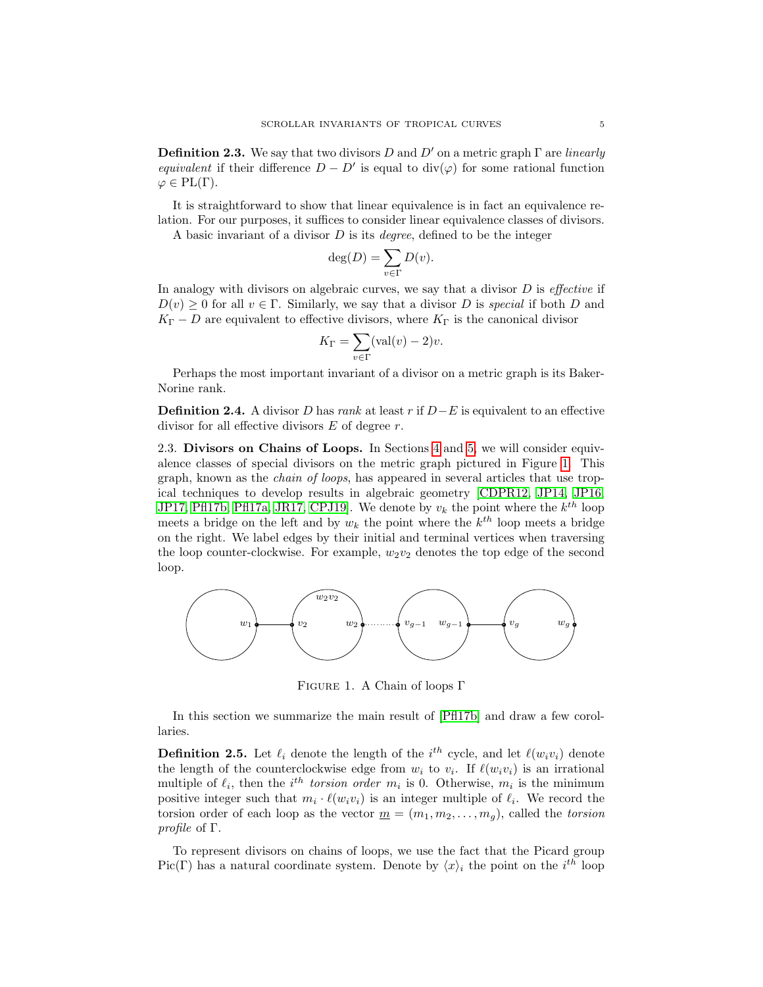**Definition 2.3.** We say that two divisors D and D' on a metric graph  $\Gamma$  are *linearly* equivalent if their difference  $D - D'$  is equal to div( $\varphi$ ) for some rational function  $\varphi \in PL(\Gamma)$ .

It is straightforward to show that linear equivalence is in fact an equivalence relation. For our purposes, it suffices to consider linear equivalence classes of divisors.

A basic invariant of a divisor  $D$  is its *degree*, defined to be the integer

$$
\deg(D) = \sum_{v \in \Gamma} D(v).
$$

In analogy with divisors on algebraic curves, we say that a divisor  $D$  is *effective* if  $D(v) \geq 0$  for all  $v \in \Gamma$ . Similarly, we say that a divisor D is special if both D and  $K_{\Gamma} - D$  are equivalent to effective divisors, where  $K_{\Gamma}$  is the canonical divisor

$$
K_{\Gamma} = \sum_{v \in \Gamma} (\text{val}(v) - 2)v.
$$

Perhaps the most important invariant of a divisor on a metric graph is its Baker-Norine rank.

**Definition 2.4.** A divisor D has rank at least r if  $D-E$  is equivalent to an effective divisor for all effective divisors  $E$  of degree  $r$ .

2.3. Divisors on Chains of Loops. In Sections [4](#page-7-0) and [5,](#page-13-0) we will consider equivalence classes of special divisors on the metric graph pictured in Figure [1.](#page-4-1) This graph, known as the chain of loops, has appeared in several articles that use tropical techniques to develop results in algebraic geometry [\[CDPR12,](#page-19-0) [JP14,](#page-19-1) [JP16,](#page-19-2) [JP17,](#page-19-3) [Pfl17b,](#page-19-8) [Pfl17a,](#page-19-4) [JR17,](#page-19-5) CPJ19. We denote by  $v_k$  the point where the  $k^{th}$  loop meets a bridge on the left and by  $w_k$  the point where the  $k^{th}$  loop meets a bridge on the right. We label edges by their initial and terminal vertices when traversing the loop counter-clockwise. For example,  $w_2v_2$  denotes the top edge of the second loop.



<span id="page-4-1"></span>Figure 1. A Chain of loops Γ

In this section we summarize the main result of [\[Pfl17b\]](#page-19-8) and draw a few corollaries.

<span id="page-4-0"></span>**Definition 2.5.** Let  $\ell_i$  denote the length of the i<sup>th</sup> cycle, and let  $\ell(w_i v_i)$  denote the length of the counterclockwise edge from  $w_i$  to  $v_i$ . If  $\ell(w_i v_i)$  is an irrational multiple of  $\ell_i$ , then the i<sup>th</sup> torsion order  $m_i$  is 0. Otherwise,  $m_i$  is the minimum positive integer such that  $m_i \cdot \ell(w_i v_i)$  is an integer multiple of  $\ell_i$ . We record the torsion order of each loop as the vector  $\underline{m} = (m_1, m_2, \ldots, m_g)$ , called the torsion profile of Γ.

To represent divisors on chains of loops, we use the fact that the Picard group Pic(Γ) has a natural coordinate system. Denote by  $\langle x \rangle_i$  the point on the i<sup>th</sup> loop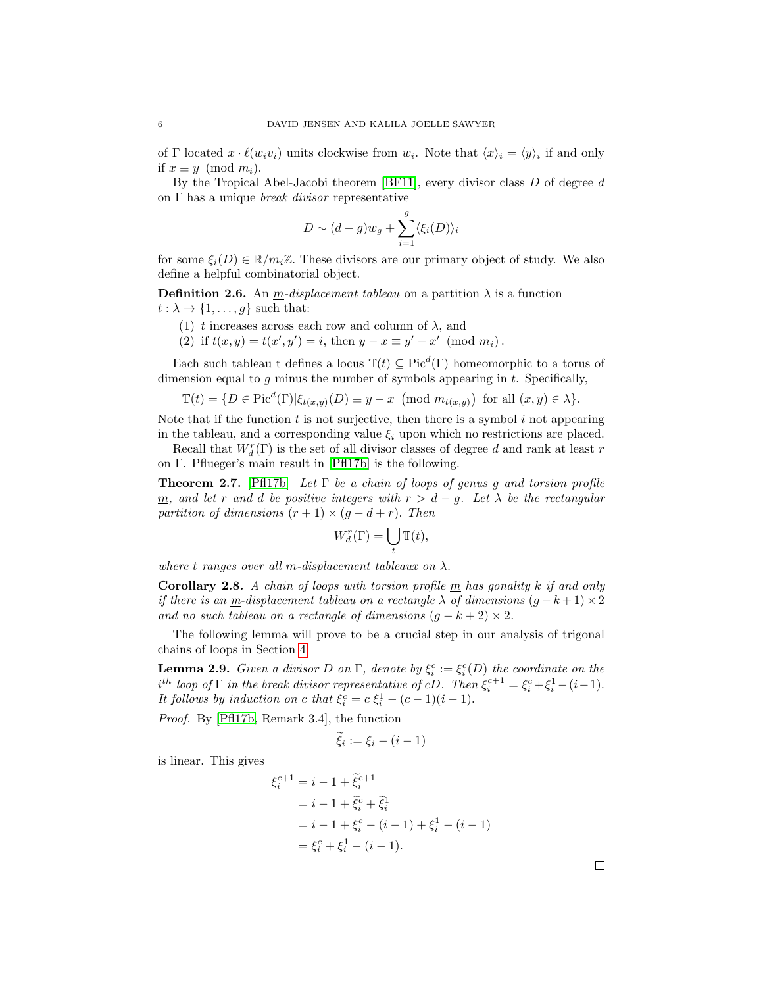of  $\Gamma$  located  $x \cdot \ell(w_i v_i)$  units clockwise from  $w_i$ . Note that  $\langle x \rangle_i = \langle y \rangle_i$  if and only if  $x \equiv y \pmod{m_i}$ .

By the Tropical Abel-Jacobi theorem [\[BF11\]](#page-19-9), every divisor class  $D$  of degree  $d$ on  $\Gamma$  has a unique *break divisor* representative

$$
D \sim (d-g)w_g + \sum_{i=1}^{g} \langle \xi_i(D) \rangle_i
$$

for some  $\xi_i(D) \in \mathbb{R}/m_i\mathbb{Z}$ . These divisors are our primary object of study. We also define a helpful combinatorial object.

**Definition 2.6.** An *m*-displacement tableau on a partition  $\lambda$  is a function  $t : \lambda \to \{1, \ldots, g\}$  such that:

- (1) t increases across each row and column of  $\lambda$ , and
- (2) if  $t(x, y) = t(x', y') = i$ , then  $y x \equiv y' x' \pmod{m_i}$ .

Each such tableau t defines a locus  $\mathbb{T}(t) \subseteq Pic^d(\Gamma)$  homeomorphic to a torus of dimension equal to g minus the number of symbols appearing in  $t$ . Specifically,

$$
\mathbb{T}(t) = \{ D \in \text{Pic}^d(\Gamma) | \xi_{t(x,y)}(D) \equiv y - x \pmod{m_{t(x,y)}} \text{ for all } (x, y) \in \lambda \}.
$$

Note that if the function  $t$  is not surjective, then there is a symbol  $i$  not appearing in the tableau, and a corresponding value  $\xi_i$  upon which no restrictions are placed.

Recall that  $W^r_d(\Gamma)$  is the set of all divisor classes of degree  $d$  and rank at least  $r$ on Γ. Pflueger's main result in [\[Pfl17b\]](#page-19-8) is the following.

<span id="page-5-1"></span>**Theorem 2.7.** [\[Pfl17b\]](#page-19-8) Let  $\Gamma$  be a chain of loops of genus g and torsion profile m, and let r and d be positive integers with  $r > d - g$ . Let  $\lambda$  be the rectangular partition of dimensions  $(r + 1) \times (g - d + r)$ . Then

$$
W_d^r(\Gamma) = \bigcup_t \mathbb{T}(t),
$$

where t ranges over all  $\underline{m}$ -displacement tableaux on  $\lambda$ .

<span id="page-5-0"></span>**Corollary 2.8.** A chain of loops with torsion profile  $\underline{m}$  has gonality k if and only if there is an m-displacement tableau on a rectangle  $\lambda$  of dimensions  $(g - k + 1) \times 2$ and no such tableau on a rectangle of dimensions  $(g - k + 2) \times 2$ .

The following lemma will prove to be a crucial step in our analysis of trigonal chains of loops in Section [4.](#page-7-0)

<span id="page-5-2"></span>**Lemma 2.9.** Given a divisor D on  $\Gamma$ , denote by  $\xi_i^c := \xi_i^c(D)$  the coordinate on the  $i^{th}$  loop of  $\Gamma$  in the break divisor representative of cD. Then  $\xi_i^{c+1} = \xi_i^c + \xi_i^1 - (i-1)$ . It follows by induction on c that  $\xi_i^c = c \xi_i^1 - (c-1)(i-1)$ .

Proof. By [\[Pfl17b,](#page-19-8) Remark 3.4], the function

$$
\widetilde{\xi}_i := \xi_i - (i-1)
$$

is linear. This gives

$$
\xi_i^{c+1} = i - 1 + \tilde{\xi}_i^{c+1}
$$
  
=  $i - 1 + \tilde{\xi}_i^c + \tilde{\xi}_i^1$   
=  $i - 1 + \xi_i^c - (i - 1) + \xi_i^1 - (i - 1)$   
=  $\xi_i^c + \xi_i^1 - (i - 1)$ .

 $\Box$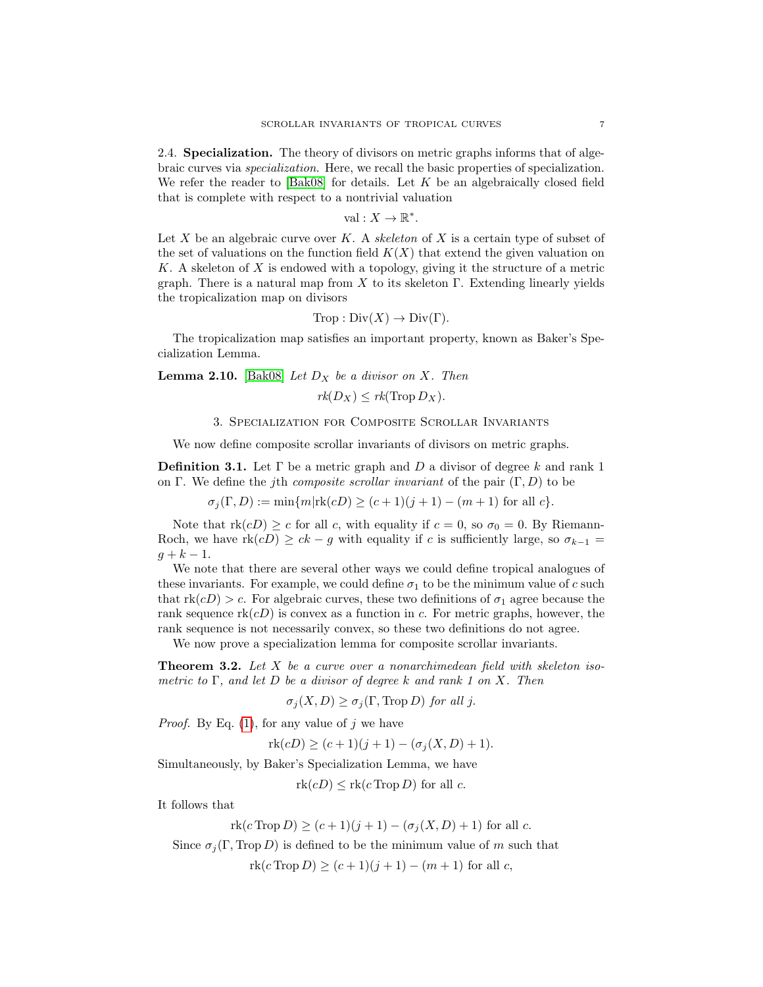2.4. Specialization. The theory of divisors on metric graphs informs that of algebraic curves via specialization. Here, we recall the basic properties of specialization. We refer the reader to  $[Bak08]$  for details. Let K be an algebraically closed field that is complete with respect to a nontrivial valuation

$$
\mathrm{val}: X \to \mathbb{R}^*.
$$

Let  $X$  be an algebraic curve over  $K$ . A skeleton of  $X$  is a certain type of subset of the set of valuations on the function field  $K(X)$  that extend the given valuation on K. A skeleton of  $X$  is endowed with a topology, giving it the structure of a metric graph. There is a natural map from X to its skeleton  $\Gamma$ . Extending linearly yields the tropicalization map on divisors

$$
Trop: Div(X) \to Div(\Gamma).
$$

The tropicalization map satisfies an important property, known as Baker's Specialization Lemma.

**Lemma 2.10.** [\[Bak08\]](#page-19-7) Let  $D_X$  be a divisor on X. Then

$$
rk(D_X) \leq rk(\text{Trop }D_X).
$$

# 3. Specialization for Composite Scrollar Invariants

We now define composite scrollar invariants of divisors on metric graphs.

**Definition 3.1.** Let  $\Gamma$  be a metric graph and D a divisor of degree k and rank 1 on Γ. We define the j<sup>th</sup> composite scrollar invariant of the pair  $(\Gamma, D)$  to be

 $\sigma_i(\Gamma, D) := \min\{m | \text{rk}(cD) > (c+1)(j+1) - (m+1) \text{ for all } c\}.$ 

Note that  $rk(cD) \geq c$  for all c, with equality if  $c = 0$ , so  $\sigma_0 = 0$ . By Riemann-Roch, we have  $\text{rk}(cD) \ge ck - g$  with equality if c is sufficiently large, so  $\sigma_{k-1} =$  $g + k - 1.$ 

We note that there are several other ways we could define tropical analogues of these invariants. For example, we could define  $\sigma_1$  to be the minimum value of c such that  $rk(cD) > c$ . For algebraic curves, these two definitions of  $\sigma_1$  agree because the rank sequence  $\text{rk}(cD)$  is convex as a function in c. For metric graphs, however, the rank sequence is not necessarily convex, so these two definitions do not agree.

We now prove a specialization lemma for composite scrollar invariants.

**Theorem 3.2.** Let  $X$  be a curve over a nonarchimedean field with skeleton isometric to  $\Gamma$ , and let D be a divisor of degree k and rank 1 on X. Then

 $\sigma_i(X, D) \geq \sigma_i(\Gamma, \text{Trop } D)$  for all j.

*Proof.* By Eq.  $(1)$ , for any value of j we have

 $rk(cD) \ge (c+1)(j+1) - (\sigma_j(X, D) + 1).$ 

Simultaneously, by Baker's Specialization Lemma, we have

 $rk(cD) \leq rk(cTrop D)$  for all c.

It follows that

$$
rk(c Trop D) \ge (c+1)(j+1) - (\sigma_j(X, D) + 1)
$$
 for all c.

Since  $\sigma_i(\Gamma, \text{Top } D)$  is defined to be the minimum value of m such that

 $rk(c \text{Trop } D) > (c+1)(j+1) - (m+1)$  for all c,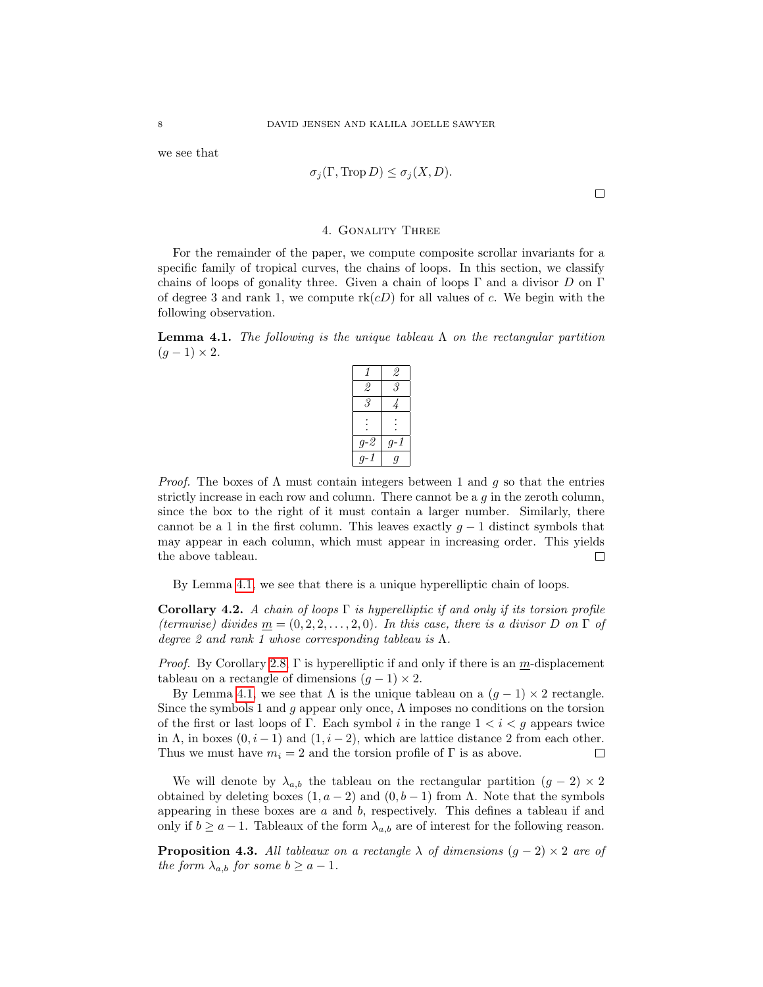we see that

$$
\sigma_j(\Gamma, \operatorname{Trop} D) \le \sigma_j(X, D).
$$

 $\Box$ 

# 4. Gonality Three

<span id="page-7-0"></span>For the remainder of the paper, we compute composite scrollar invariants for a specific family of tropical curves, the chains of loops. In this section, we classify chains of loops of gonality three. Given a chain of loops  $\Gamma$  and a divisor D on  $\Gamma$ of degree 3 and rank 1, we compute  $rk(cD)$  for all values of c. We begin with the following observation.

<span id="page-7-1"></span>**Lemma 4.1.** The following is the unique tableau  $\Lambda$  on the rectangular partition  $(q-1)\times 2$ .

| 1   | 2     |
|-----|-------|
| 2   | 3     |
| 3   |       |
|     |       |
| g-2 | $g-1$ |
| q-1 | Ý     |

*Proof.* The boxes of  $\Lambda$  must contain integers between 1 and q so that the entries strictly increase in each row and column. There cannot be a  $q$  in the zeroth column, since the box to the right of it must contain a larger number. Similarly, there cannot be a 1 in the first column. This leaves exactly  $g - 1$  distinct symbols that may appear in each column, which must appear in increasing order. This yields the above tableau.  $\Box$ 

By Lemma [4.1,](#page-7-1) we see that there is a unique hyperelliptic chain of loops.

<span id="page-7-2"></span>Corollary 4.2. A chain of loops  $\Gamma$  is hyperelliptic if and only if its torsion profile (termwise) divides  $m = (0, 2, 2, \ldots, 2, 0)$ . In this case, there is a divisor D on  $\Gamma$  of degree 2 and rank 1 whose corresponding tableau is  $\Lambda$ .

*Proof.* By Corollary [2.8,](#page-5-0)  $\Gamma$  is hyperelliptic if and only if there is an m-displacement tableau on a rectangle of dimensions  $(g - 1) \times 2$ .

By Lemma [4.1,](#page-7-1) we see that  $\Lambda$  is the unique tableau on a  $(g - 1) \times 2$  rectangle. Since the symbols 1 and g appear only once,  $\Lambda$  imposes no conditions on the torsion of the first or last loops of Γ. Each symbol i in the range  $1 < i < q$  appears twice in  $\Lambda$ , in boxes  $(0, i - 1)$  and  $(1, i - 2)$ , which are lattice distance 2 from each other. Thus we must have  $m_i = 2$  and the torsion profile of  $\Gamma$  is as above.  $\Box$ 

We will denote by  $\lambda_{a,b}$  the tableau on the rectangular partition  $(g - 2) \times 2$ obtained by deleting boxes  $(1, a - 2)$  and  $(0, b - 1)$  from  $\Lambda$ . Note that the symbols appearing in these boxes are  $a$  and  $b$ , respectively. This defines a tableau if and only if  $b \ge a - 1$ . Tableaux of the form  $\lambda_{a,b}$  are of interest for the following reason.

<span id="page-7-3"></span>**Proposition 4.3.** All tableaux on a rectangle  $\lambda$  of dimensions  $(g - 2) \times 2$  are of the form  $\lambda_{a,b}$  for some  $b \ge a-1$ .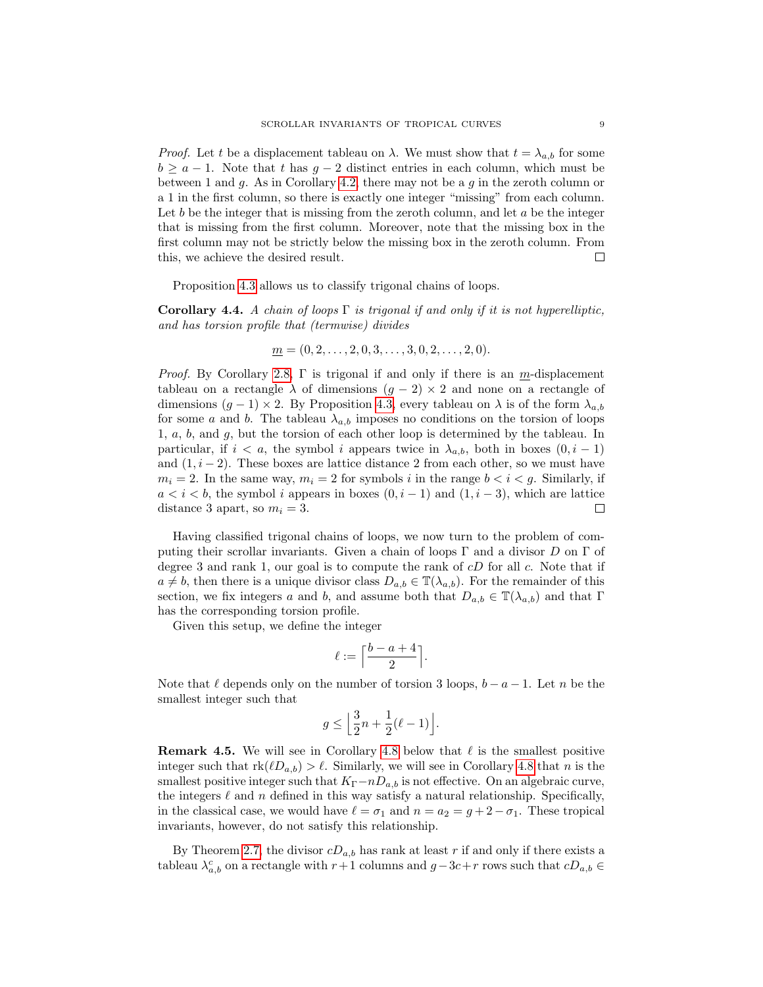*Proof.* Let t be a displacement tableau on  $\lambda$ . We must show that  $t = \lambda_{a,b}$  for some  $b \ge a - 1$ . Note that t has  $g - 2$  distinct entries in each column, which must be between 1 and g. As in Corollary [4.2,](#page-7-2) there may not be a g in the zeroth column or a 1 in the first column, so there is exactly one integer "missing" from each column. Let b be the integer that is missing from the zeroth column, and let  $a$  be the integer that is missing from the first column. Moreover, note that the missing box in the first column may not be strictly below the missing box in the zeroth column. From  $\Box$ this, we achieve the desired result.

Proposition [4.3](#page-7-3) allows us to classify trigonal chains of loops.

<span id="page-8-0"></span>Corollary 4.4. A chain of loops  $\Gamma$  is trigonal if and only if it is not hyperelliptic. and has torsion profile that (termwise) divides

$$
\underline{m} = (0, 2, \dots, 2, 0, 3, \dots, 3, 0, 2, \dots, 2, 0).
$$

*Proof.* By Corollary [2.8,](#page-5-0)  $\Gamma$  is trigonal if and only if there is an m-displacement tableau on a rectangle  $\lambda$  of dimensions  $(g - 2) \times 2$  and none on a rectangle of dimensions  $(g - 1) \times 2$ . By Proposition [4.3,](#page-7-3) every tableau on  $\lambda$  is of the form  $\lambda_{a,b}$ for some a and b. The tableau  $\lambda_{a,b}$  imposes no conditions on the torsion of loops 1, a, b, and g, but the torsion of each other loop is determined by the tableau. In particular, if  $i < a$ , the symbol i appears twice in  $\lambda_{a,b}$ , both in boxes  $(0, i - 1)$ and  $(1, i - 2)$ . These boxes are lattice distance 2 from each other, so we must have  $m_i = 2$ . In the same way,  $m_i = 2$  for symbols i in the range  $b < i < g$ . Similarly, if  $a < i < b$ , the symbol i appears in boxes  $(0, i - 1)$  and  $(1, i - 3)$ , which are lattice distance 3 apart, so  $m_i = 3$ .  $\Box$ 

Having classified trigonal chains of loops, we now turn to the problem of computing their scrollar invariants. Given a chain of loops  $\Gamma$  and a divisor D on  $\Gamma$  of degree 3 and rank 1, our goal is to compute the rank of  $cD$  for all  $c$ . Note that if  $a \neq b$ , then there is a unique divisor class  $D_{a,b} \in \mathbb{T}(\lambda_{a,b})$ . For the remainder of this section, we fix integers a and b, and assume both that  $D_{a,b} \in \mathbb{T}(\lambda_{a,b})$  and that  $\Gamma$ has the corresponding torsion profile.

Given this setup, we define the integer

$$
\ell:=\Big\lceil\frac{b-a+4}{2}\Big\rceil.
$$

Note that  $\ell$  depends only on the number of torsion 3 loops,  $b - a - 1$ . Let n be the smallest integer such that

$$
g \le \left\lfloor \frac{3}{2}n + \frac{1}{2}(\ell - 1) \right\rfloor.
$$

**Remark 4.5.** We will see in Corollary [4.8](#page-11-0) below that  $\ell$  is the smallest positive integer such that  $rk(\ell D_{a,b}) > \ell$ . Similarly, we will see in Corollary [4.8](#page-11-0) that n is the smallest positive integer such that  $K_{\Gamma}-nD_{a,b}$  is not effective. On an algebraic curve, the integers  $\ell$  and n defined in this way satisfy a natural relationship. Specifically, in the classical case, we would have  $\ell = \sigma_1$  and  $n = a_2 = g + 2 - \sigma_1$ . These tropical invariants, however, do not satisfy this relationship.

By Theorem [2.7,](#page-5-1) the divisor  $cD_{a,b}$  has rank at least r if and only if there exists a tableau  $\lambda_{a,b}^c$  on a rectangle with  $r+1$  columns and  $g-3c+r$  rows such that  $cD_{a,b} \in$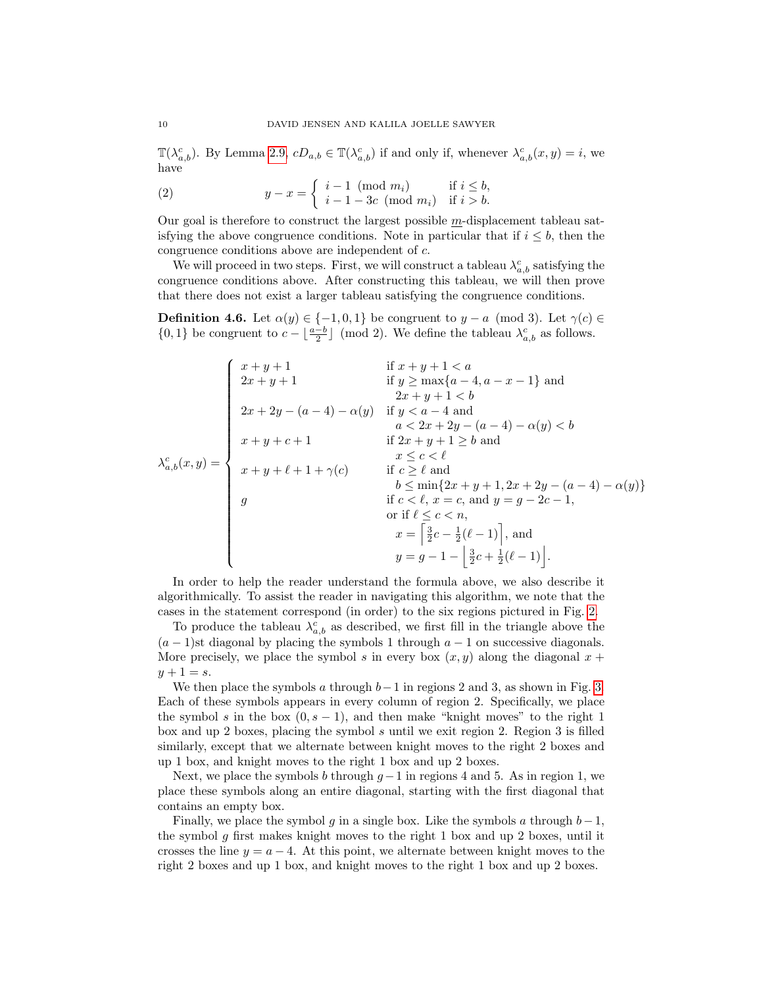$\mathbb{T}(\lambda_{a,b}^c)$ . By Lemma [2.9,](#page-5-2)  $cD_{a,b} \in \mathbb{T}(\lambda_{a,b}^c)$  if and only if, whenever  $\lambda_{a,b}^c(x,y) = i$ , we have

<span id="page-9-0"></span>(2) 
$$
y - x = \begin{cases} i - 1 \pmod{m_i} & \text{if } i \leq b, \\ i - 1 - 3c \pmod{m_i} & \text{if } i > b. \end{cases}
$$

Our goal is therefore to construct the largest possible m-displacement tableau satisfying the above congruence conditions. Note in particular that if  $i \leq b$ , then the congruence conditions above are independent of c.

We will proceed in two steps. First, we will construct a tableau  $\lambda_{a,b}^c$  satisfying the congruence conditions above. After constructing this tableau, we will then prove that there does not exist a larger tableau satisfying the congruence conditions.

<span id="page-9-1"></span>**Definition 4.6.** Let  $\alpha(y) \in \{-1, 0, 1\}$  be congruent to  $y - a \pmod{3}$ . Let  $\gamma(c) \in$  $\{0,1\}$  be congruent to  $c - \lfloor \frac{a-b}{2} \rfloor \pmod{2}$ . We define the tableau  $\lambda_{a,b}^c$  as follows.

$$
\lambda_{a,b}^c(x,y) = \begin{cases}\nx + y + 1 & \text{if } x + y + 1 < a \\
2x + y + 1 & \text{if } y \ge \max\{a - 4, a - x - 1\} \text{ and } \\
2x + 2y - (a - 4) - \alpha(y) & \text{if } y < a - 4 \text{ and } \\
a < 2x + 2y - (a - 4) - \alpha(y) < b \\
x + y + c + 1 & \text{if } 2x + y + 1 \ge b \text{ and } \\
x \le c < \ell \\
x + y + \ell + 1 + \gamma(c) & \text{if } c \ge \ell \text{ and } \\
b \le \min\{2x + y + 1, 2x + 2y - (a - 4) - \alpha(y)\} \\
g & \text{if } c < \ell, x = c, \text{ and } y = g - 2c - 1, \\
\text{or if } \ell \le c < n, \\
x = \begin{bmatrix} \frac{3}{2}c - \frac{1}{2}(\ell - 1) \\ \frac{3}{2}c + \frac{1}{2}(\ell - 1) \end{bmatrix}, \text{ and } \\
y = g - 1 - \begin{bmatrix} \frac{3}{2}c + \frac{1}{2}(\ell - 1) \end{bmatrix}.\n\end{cases}
$$

In order to help the reader understand the formula above, we also describe it algorithmically. To assist the reader in navigating this algorithm, we note that the cases in the statement correspond (in order) to the six regions pictured in Fig. [2.](#page-10-0)

To produce the tableau  $\lambda_{a,b}^c$  as described, we first fill in the triangle above the  $(a - 1)$ st diagonal by placing the symbols 1 through  $a - 1$  on successive diagonals. More precisely, we place the symbol s in every box  $(x, y)$  along the diagonal  $x +$  $y + 1 = s.$ 

We then place the symbols a through  $b-1$  in regions 2 and 3, as shown in Fig. [3.](#page-11-1) Each of these symbols appears in every column of region 2. Specifically, we place the symbol s in the box  $(0, s - 1)$ , and then make "knight moves" to the right 1 box and up 2 boxes, placing the symbol s until we exit region 2. Region 3 is filled similarly, except that we alternate between knight moves to the right 2 boxes and up 1 box, and knight moves to the right 1 box and up 2 boxes.

Next, we place the symbols b through  $q-1$  in regions 4 and 5. As in region 1, we place these symbols along an entire diagonal, starting with the first diagonal that contains an empty box.

Finally, we place the symbol g in a single box. Like the symbols a through  $b-1$ , the symbol g first makes knight moves to the right 1 box and up 2 boxes, until it crosses the line  $y = a - 4$ . At this point, we alternate between knight moves to the right 2 boxes and up 1 box, and knight moves to the right 1 box and up 2 boxes.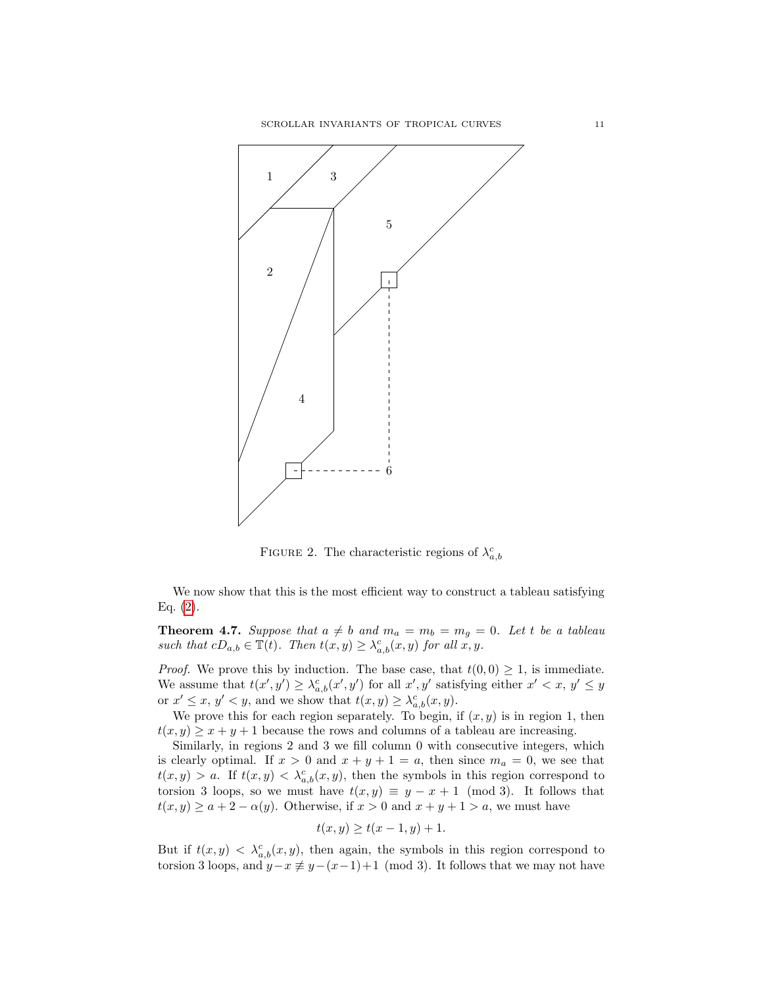

<span id="page-10-0"></span>FIGURE 2. The characteristic regions of  $\lambda_{a,b}^c$ 

We now show that this is the most efficient way to construct a tableau satisfying Eq.  $(2)$ .

<span id="page-10-1"></span>**Theorem 4.7.** Suppose that  $a \neq b$  and  $m_a = m_b = m_g = 0$ . Let t be a tableau such that  $cD_{a,b} \in \mathbb{T}(t)$ . Then  $t(x,y) \geq \lambda_{a,b}^c(x,y)$  for all  $x, y$ .

*Proof.* We prove this by induction. The base case, that  $t(0, 0) \geq 1$ , is immediate. We assume that  $t(x', y') \geq \lambda_{a,b}^c(x', y')$  for all  $x', y'$  satisfying either  $x' < x, y' \leq y$ or  $x' \leq x, y' < y$ , and we show that  $t(x, y) \geq \lambda_{a,b}^c(x, y)$ .

We prove this for each region separately. To begin, if  $(x, y)$  is in region 1, then  $t(x, y) \geq x + y + 1$  because the rows and columns of a tableau are increasing.

Similarly, in regions 2 and 3 we fill column 0 with consecutive integers, which is clearly optimal. If  $x > 0$  and  $x + y + 1 = a$ , then since  $m_a = 0$ , we see that  $t(x, y) > a$ . If  $t(x, y) < \lambda_{a,b}^c(x, y)$ , then the symbols in this region correspond to torsion 3 loops, so we must have  $t(x, y) \equiv y - x + 1 \pmod{3}$ . It follows that  $t(x, y) \ge a + 2 - \alpha(y)$ . Otherwise, if  $x > 0$  and  $x + y + 1 > a$ , we must have

$$
t(x, y) \ge t(x - 1, y) + 1.
$$

But if  $t(x, y) < \lambda_{a,b}^c(x, y)$ , then again, the symbols in this region correspond to torsion 3 loops, and  $y-x \not\equiv y-(x-1)+1 \pmod{3}$ . It follows that we may not have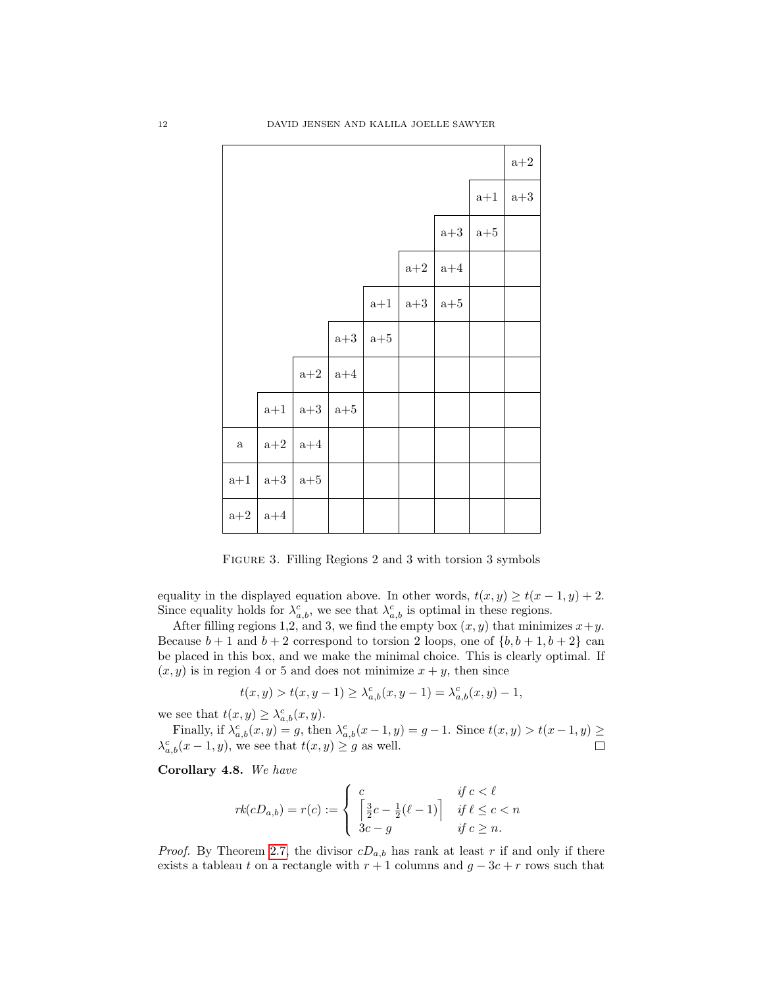|          |                  |                  |                  |       |                  |       |       | $a+2$ |
|----------|------------------|------------------|------------------|-------|------------------|-------|-------|-------|
|          |                  |                  |                  |       |                  |       | $a+1$ | $a+3$ |
|          |                  |                  |                  |       |                  | $a+3$ | $a+5$ |       |
|          |                  |                  |                  |       | $\mathrm{a}{+2}$ | $a+4$ |       |       |
|          |                  |                  |                  | $a+1$ | $a+3$            | $a+5$ |       |       |
|          |                  |                  | $\mathrm{a}{+3}$ | $a+5$ |                  |       |       |       |
|          |                  | $\mathrm{a}{+2}$ | $a+4$            |       |                  |       |       |       |
|          | $a+1$            | $\mathrm{a}{+3}$ | $a+5$            |       |                  |       |       |       |
| $\rm{a}$ | $\mathrm{a}{+2}$ | $a+4$            |                  |       |                  |       |       |       |
| $a+1$    | $a+3$            | $a+5$            |                  |       |                  |       |       |       |
| $a+2$    | $a+4$            |                  |                  |       |                  |       |       |       |

<span id="page-11-1"></span>FIGURE 3. Filling Regions 2 and 3 with torsion 3 symbols

equality in the displayed equation above. In other words,  $t(x, y) \ge t(x - 1, y) + 2$ . Since equality holds for  $\lambda_{a,b}^c$ , we see that  $\lambda_{a,b}^c$  is optimal in these regions.

After filling regions 1,2, and 3, we find the empty box  $(x, y)$  that minimizes  $x + y$ . Because  $b+1$  and  $b+2$  correspond to torsion 2 loops, one of  $\{b, b+1, b+2\}$  can be placed in this box, and we make the minimal choice. This is clearly optimal. If  $(x, y)$  is in region 4 or 5 and does not minimize  $x + y$ , then since

$$
t(x, y) > t(x, y - 1) \ge \lambda_{a,b}^c(x, y - 1) = \lambda_{a,b}^c(x, y) - 1,
$$

we see that  $t(x, y) \geq \lambda_{a,b}^c(x, y)$ .

Finally, if  $\lambda_{a,b}^c(x,y) = g$ , then  $\lambda_{a,b}^c(x-1,y) = g-1$ . Since  $t(x,y) > t(x-1,y) \ge$  $\lambda_{a,b}^c(x-1,y)$ , we see that  $t(x,y) \geq g$  as well.  $\Box$ 

<span id="page-11-0"></span>Corollary 4.8. We have

$$
rk(cD_{a,b}) = r(c) := \begin{cases} c & \text{if } c < \ell \\ \left[\frac{3}{2}c - \frac{1}{2}(\ell - 1)\right] & \text{if } \ell \le c < n \\ 3c - g & \text{if } c \ge n. \end{cases}
$$

*Proof.* By Theorem [2.7,](#page-5-1) the divisor  $cD_{a,b}$  has rank at least r if and only if there exists a tableau t on a rectangle with  $r + 1$  columns and  $g - 3c + r$  rows such that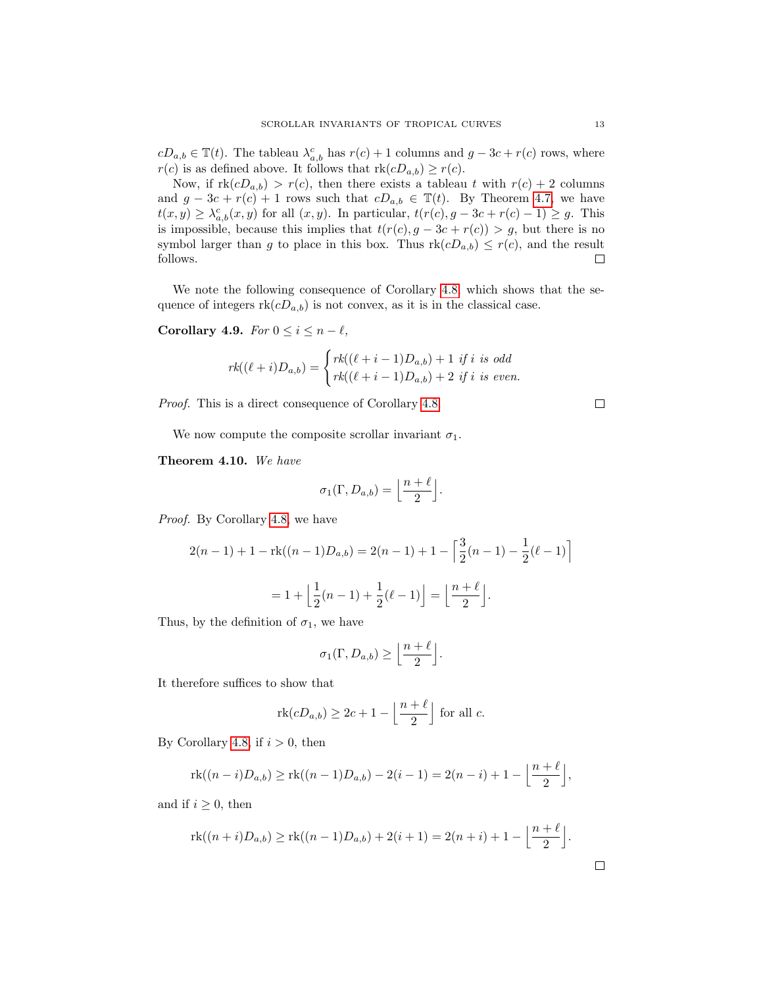$cD_{a,b} \in \mathbb{T}(t)$ . The tableau  $\lambda_{a,b}^c$  has  $r(c) + 1$  columns and  $g - 3c + r(c)$  rows, where  $r(c)$  is as defined above. It follows that  $rk(cD_{a,b}) \geq r(c)$ .

Now, if  $rk(cD_{a,b}) > r(c)$ , then there exists a tableau t with  $r(c) + 2$  columns and  $g - 3c + r(c) + 1$  rows such that  $cD_{a,b} \in \mathbb{T}(t)$ . By Theorem [4.7,](#page-10-1) we have  $t(x,y) \geq \lambda_{a,b}^c(x,y)$  for all  $(x,y)$ . In particular,  $t(r(c), g - 3c + r(c) - 1) \geq g$ . This is impossible, because this implies that  $t(r(c), g - 3c + r(c)) > g$ , but there is no symbol larger than g to place in this box. Thus  $\text{rk}(cD_{a,b}) \leq r(c)$ , and the result follows.  $\Box$ 

We note the following consequence of Corollary [4.8,](#page-11-0) which shows that the sequence of integers  $rk(cD_{a,b})$  is not convex, as it is in the classical case.

Corollary 4.9. For  $0 \le i \le n - \ell$ ,

$$
rk((\ell+i)D_{a,b}) = \begin{cases} rk((\ell+i-1)D_{a,b}) + 1 & \text{if } i \text{ is odd} \\ rk((\ell+i-1)D_{a,b}) + 2 & \text{if } i \text{ is even.} \end{cases}
$$

Proof. This is a direct consequence of Corollary [4.8.](#page-11-0)

We now compute the composite scrollar invariant  $\sigma_1$ .

Theorem 4.10. We have

$$
\sigma_1(\Gamma, D_{a,b}) = \left\lfloor \frac{n+\ell}{2} \right\rfloor.
$$

Proof. By Corollary [4.8,](#page-11-0) we have

$$
2(n-1) + 1 - \text{rk}((n-1)D_{a,b}) = 2(n-1) + 1 - \left[\frac{3}{2}(n-1) - \frac{1}{2}(\ell - 1)\right]
$$

$$
= 1 + \left\lfloor\frac{1}{2}(n-1) + \frac{1}{2}(\ell - 1)\right\rfloor = \left\lfloor\frac{n+\ell}{2}\right\rfloor.
$$

Thus, by the definition of  $\sigma_1$ , we have

$$
\sigma_1(\Gamma, D_{a,b}) \ge \left\lfloor \frac{n+\ell}{2} \right\rfloor.
$$

It therefore suffices to show that

$$
\mathrm{rk}(cD_{a,b}) \ge 2c + 1 - \left\lfloor \frac{n+\ell}{2} \right\rfloor \text{ for all } c.
$$

By Corollary [4.8,](#page-11-0) if  $i > 0$ , then

$$
rk((n-i)D_{a,b}) \geq rk((n-1)D_{a,b}) - 2(i-1) = 2(n-i) + 1 - \left\lfloor \frac{n+\ell}{2} \right\rfloor,
$$

and if  $i \geq 0$ , then

$$
rk((n+i)D_{a,b}) \geq rk((n-1)D_{a,b}) + 2(i+1) = 2(n+i) + 1 - \left\lfloor \frac{n+\ell}{2} \right\rfloor.
$$

 $\Box$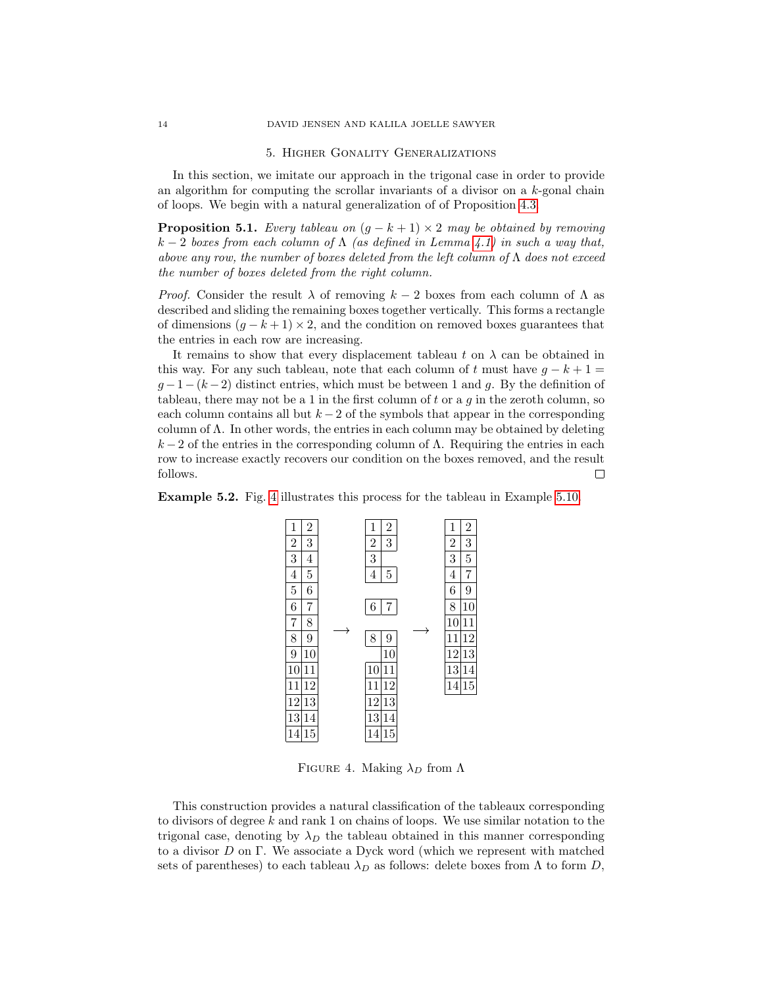## 5. Higher Gonality Generalizations

<span id="page-13-0"></span>In this section, we imitate our approach in the trigonal case in order to provide an algorithm for computing the scrollar invariants of a divisor on a k-gonal chain of loops. We begin with a natural generalization of of Proposition [4.3.](#page-7-3)

<span id="page-13-2"></span>**Proposition 5.1.** Every tableau on  $(g - k + 1) \times 2$  may be obtained by removing  $k-2$  boxes from each column of  $\Lambda$  (as defined in Lemma [4.1\)](#page-7-1) in such a way that, above any row, the number of boxes deleted from the left column of  $\Lambda$  does not exceed the number of boxes deleted from the right column.

*Proof.* Consider the result  $\lambda$  of removing  $k-2$  boxes from each column of  $\Lambda$  as described and sliding the remaining boxes together vertically. This forms a rectangle of dimensions  $(q - k + 1) \times 2$ , and the condition on removed boxes guarantees that the entries in each row are increasing.

It remains to show that every displacement tableau t on  $\lambda$  can be obtained in this way. For any such tableau, note that each column of t must have  $g - k + 1 =$  $g-1-(k-2)$  distinct entries, which must be between 1 and g. By the definition of tableau, there may not be a 1 in the first column of t or a  $q$  in the zeroth column, so each column contains all but  $k-2$  of the symbols that appear in the corresponding column of  $\Lambda$ . In other words, the entries in each column may be obtained by deleting  $k-2$  of the entries in the corresponding column of  $\Lambda$ . Requiring the entries in each row to increase exactly recovers our condition on the boxes removed, and the result follows.  $\Box$ 





<span id="page-13-1"></span>FIGURE 4. Making  $\lambda_D$  from  $\Lambda$ 

This construction provides a natural classification of the tableaux corresponding to divisors of degree  $k$  and rank 1 on chains of loops. We use similar notation to the trigonal case, denoting by  $\lambda_D$  the tableau obtained in this manner corresponding to a divisor D on Γ. We associate a Dyck word (which we represent with matched sets of parentheses) to each tableau  $\lambda_D$  as follows: delete boxes from  $\Lambda$  to form  $D$ ,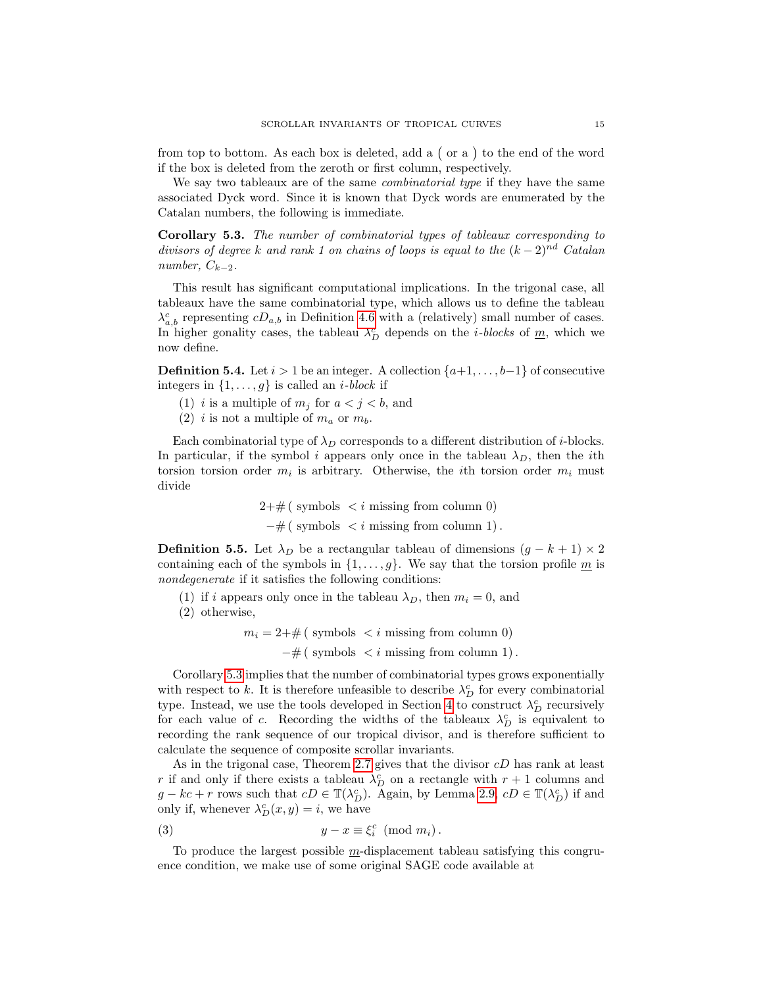from top to bottom. As each box is deleted, add a  $($  or a  $)$  to the end of the word if the box is deleted from the zeroth or first column, respectively.

We say two tableaux are of the same *combinatorial type* if they have the same associated Dyck word. Since it is known that Dyck words are enumerated by the Catalan numbers, the following is immediate.

<span id="page-14-0"></span>Corollary 5.3. The number of combinatorial types of tableaux corresponding to divisors of degree k and rank 1 on chains of loops is equal to the  $(k-2)^{nd}$  Catalan number,  $C_{k-2}$ .

This result has significant computational implications. In the trigonal case, all tableaux have the same combinatorial type, which allows us to define the tableau  $\lambda_{a,b}^c$  representing  $cD_{a,b}$  in Definition [4.6](#page-9-1) with a (relatively) small number of cases. In higher gonality cases, the tableau  $\lambda_D^c$  depends on the *i*-blocks of  $\underline{m}$ , which we now define.

**Definition 5.4.** Let  $i > 1$  be an integer. A collection  $\{a+1, \ldots, b-1\}$  of consecutive integers in  $\{1, \ldots, g\}$  is called an *i*-block if

- (1) i is a multiple of  $m_j$  for  $a < j < b$ , and
- (2) i is not a multiple of  $m_a$  or  $m_b$ .

Each combinatorial type of  $\lambda_D$  corresponds to a different distribution of *i*-blocks. In particular, if the symbol i appears only once in the tableau  $\lambda_D$ , then the ith torsion torsion order  $m_i$  is arbitrary. Otherwise, the *i*th torsion order  $m_i$  must divide

> $2+\text{\#}$  (symbols  $\lt i$  missing from column 0)  $-\#$  ( symbols  $\lt i$  missing from column 1).

**Definition 5.5.** Let  $\lambda_D$  be a rectangular tableau of dimensions  $(g - k + 1) \times 2$ containing each of the symbols in  $\{1, \ldots, g\}$ . We say that the torsion profile m is nondegenerate if it satisfies the following conditions:

- (1) if i appears only once in the tableau  $\lambda_D$ , then  $m_i = 0$ , and
- (2) otherwise,
	- $m_i = 2+\text{\#}$  (symbols  $\lt i$  missing from column 0)
		- $-\#$  ( symbols  $\lt i$  missing from column 1).

Corollary [5.3](#page-14-0) implies that the number of combinatorial types grows exponentially with respect to k. It is therefore unfeasible to describe  $\lambda_D^c$  for every combinatorial type. Instead, we use the tools developed in Section [4](#page-7-0) to construct  $\lambda_D^c$  recursively for each value of c. Recording the widths of the tableaux  $\lambda_D^c$  is equivalent to recording the rank sequence of our tropical divisor, and is therefore sufficient to calculate the sequence of composite scrollar invariants.

As in the trigonal case, Theorem [2.7](#page-5-1) gives that the divisor  $cD$  has rank at least r if and only if there exists a tableau  $\lambda_D^c$  on a rectangle with  $r+1$  columns and  $g - kc + r$  rows such that  $cD \in \mathbb{T}(\lambda_D^c)$ . Again, by Lemma [2.9,](#page-5-2)  $cD \in \mathbb{T}(\lambda_D^c)$  if and only if, whenever  $\lambda_D^c(x, y) = i$ , we have

<span id="page-14-1"></span>(3) 
$$
y - x \equiv \xi_i^c \pmod{m_i}.
$$

To produce the largest possible m-displacement tableau satisfying this congruence condition, we make use of some original SAGE code available at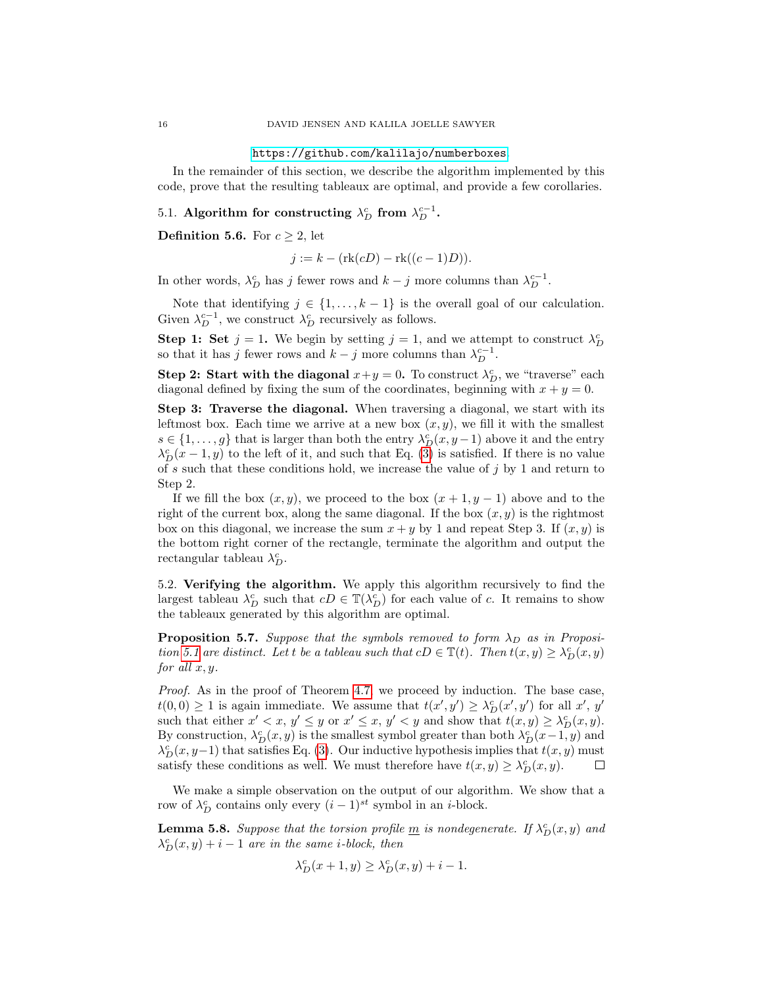#### <https://github.com/kalilajo/numberboxes>.

In the remainder of this section, we describe the algorithm implemented by this code, prove that the resulting tableaux are optimal, and provide a few corollaries.

5.1. Algorithm for constructing  $\lambda_D^c$  from  $\lambda_D^{c-1}$ .

<span id="page-15-1"></span>**Definition 5.6.** For  $c \geq 2$ , let

$$
j := k - (rk(cD) - rk((c - 1)D)).
$$

In other words,  $\lambda_D^c$  has j fewer rows and  $k - j$  more columns than  $\lambda_D^{c-1}$ .

Note that identifying  $j \in \{1, \ldots, k-1\}$  is the overall goal of our calculation. Given  $\lambda_D^{c-1}$ , we construct  $\lambda_D^c$  recursively as follows.

**Step 1: Set**  $j = 1$ . We begin by setting  $j = 1$ , and we attempt to construct  $\lambda_D^c$ so that it has j fewer rows and  $k - j$  more columns than  $\lambda_D^{c-1}$ .

**Step 2: Start with the diagonal**  $x + y = 0$ . To construct  $\lambda_D^c$ , we "traverse" each diagonal defined by fixing the sum of the coordinates, beginning with  $x + y = 0$ .

Step 3: Traverse the diagonal. When traversing a diagonal, we start with its leftmost box. Each time we arrive at a new box  $(x, y)$ , we fill it with the smallest  $s \in \{1, \ldots, g\}$  that is larger than both the entry  $\lambda_D^c(x, y-1)$  above it and the entry  $\lambda_D^c(x-1,y)$  to the left of it, and such that Eq. [\(3\)](#page-14-1) is satisfied. If there is no value of s such that these conditions hold, we increase the value of j by 1 and return to Step 2.

If we fill the box  $(x, y)$ , we proceed to the box  $(x + 1, y - 1)$  above and to the right of the current box, along the same diagonal. If the box  $(x, y)$  is the rightmost box on this diagonal, we increase the sum  $x + y$  by 1 and repeat Step 3. If  $(x, y)$  is the bottom right corner of the rectangle, terminate the algorithm and output the rectangular tableau  $\lambda_D^c$ .

5.2. Verifying the algorithm. We apply this algorithm recursively to find the largest tableau  $\lambda_D^c$  such that  $cD \in \mathbb{T}(\lambda_D^c)$  for each value of c. It remains to show the tableaux generated by this algorithm are optimal.

**Proposition 5.7.** Suppose that the symbols removed to form  $\lambda_D$  as in Proposi-tion [5.1](#page-13-2) are distinct. Let t be a tableau such that  $cD \in \mathbb{T}(t)$ . Then  $t(x, y) \geq \lambda_D^c(x, y)$ for all  $x, y$ .

Proof. As in the proof of Theorem [4.7,](#page-10-1) we proceed by induction. The base case,  $t(0,0) \geq 1$  is again immediate. We assume that  $t(x', y') \geq \lambda_D^c(x', y')$  for all  $x', y'$ such that either  $x' < x$ ,  $y' \le y$  or  $x' \le x$ ,  $y' < y$  and show that  $t(x, y) \ge \lambda_D^c(x, y)$ . By construction,  $\lambda_D^c(x, y)$  is the smallest symbol greater than both  $\lambda_D^c(x-1, y)$  and  $\lambda_D^c(x, y-1)$  that satisfies Eq. [\(3\)](#page-14-1). Our inductive hypothesis implies that  $t(x, y)$  must satisfy these conditions as well. We must therefore have  $t(x, y) \geq \lambda_D^c(x, y)$ .  $\Box$ 

We make a simple observation on the output of our algorithm. We show that a row of  $\lambda_D^c$  contains only every  $(i-1)^{st}$  symbol in an *i*-block.

<span id="page-15-0"></span>**Lemma 5.8.** Suppose that the torsion profile  $\underline{m}$  is nondegenerate. If  $\lambda_D^c(x, y)$  and  $\lambda_D^c(x, y) + i - 1$  are in the same *i*-block, then

$$
\lambda_D^c(x+1,y) \ge \lambda_D^c(x,y) + i - 1.
$$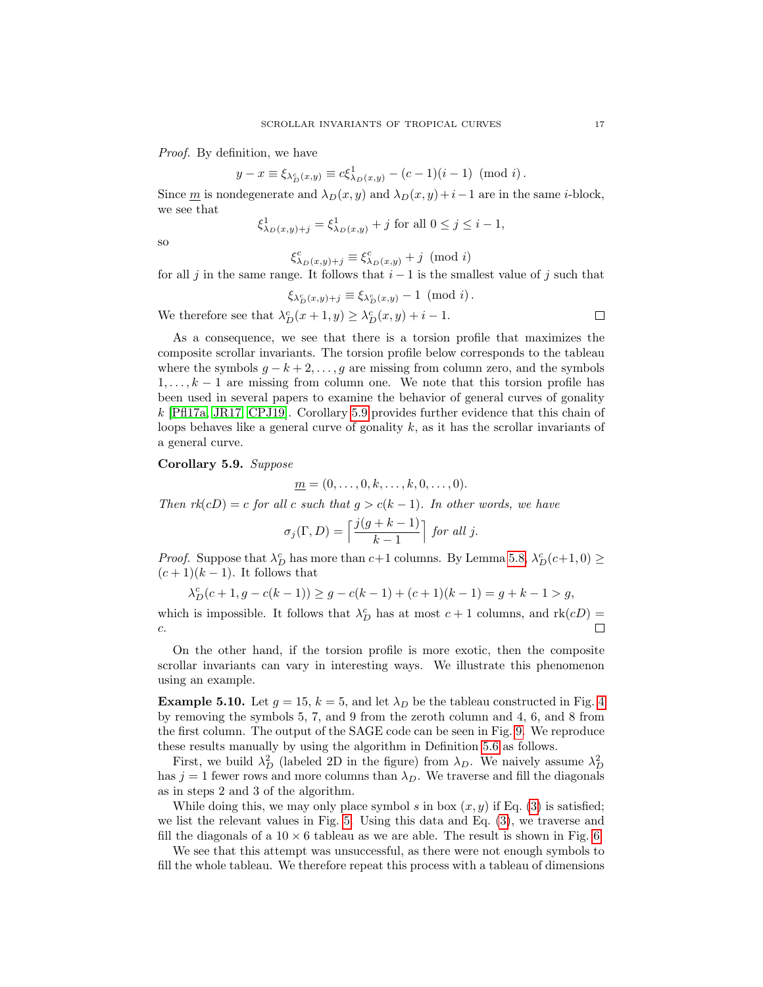Proof. By definition, we have

$$
y - x \equiv \xi_{\lambda_D^c(x,y)} \equiv c\xi_{\lambda_D(x,y)}^1 - (c-1)(i-1) \pmod{i}.
$$

Since m is nondegenerate and  $\lambda_D(x, y)$  and  $\lambda_D(x, y) + i-1$  are in the same *i*-block, we see that

$$
\xi_{\lambda_D(x,y)+j}^1 = \xi_{\lambda_D(x,y)}^1 + j
$$
 for all  $0 \le j \le i - 1$ ,

so

$$
\xi_{\lambda_D(x,y)+j}^c \equiv \xi_{\lambda_D(x,y)}^c + j \pmod{i}
$$

for all j in the same range. It follows that  $i - 1$  is the smallest value of j such that

$$
\xi_{\lambda_D^c(x,y)+j} \equiv \xi_{\lambda_D^c(x,y)} - 1 \pmod{i}.
$$

We therefore see that  $\lambda_D^c(x+1,y) \geq \lambda_D^c(x,y) + i - 1$ .

As a consequence, we see that there is a torsion profile that maximizes the composite scrollar invariants. The torsion profile below corresponds to the tableau where the symbols  $g - k + 2, \ldots, g$  are missing from column zero, and the symbols  $1, \ldots, k-1$  are missing from column one. We note that this torsion profile has been used in several papers to examine the behavior of general curves of gonality k [\[Pfl17a,](#page-19-4) [JR17,](#page-19-5) [CPJ19\]](#page-19-6). Corollary [5.9](#page-16-0) provides further evidence that this chain of loops behaves like a general curve of gonality  $k$ , as it has the scrollar invariants of a general curve.

<span id="page-16-0"></span>Corollary 5.9. Suppose

$$
\underline{m}=(0,\ldots,0,k,\ldots,k,0,\ldots,0).
$$

Then  $rk(cD) = c$  for all c such that  $g > c(k-1)$ . In other words, we have

$$
\sigma_j(\Gamma, D) = \left\lceil \frac{j(g+k-1)}{k-1} \right\rceil \text{ for all } j.
$$

*Proof.* Suppose that  $\lambda_D^c$  has more than  $c+1$  columns. By Lemma [5.8,](#page-15-0)  $\lambda_D^c(c+1,0) \geq$  $(c+1)(k-1)$ . It follows that

$$
\lambda_D^c(c+1, g-c(k-1)) \ge g - c(k-1) + (c+1)(k-1) = g + k - 1 > g,
$$

which is impossible. It follows that  $\lambda_D^c$  has at most  $c + 1$  columns, and  $\text{rk}(cD) =$ c.

On the other hand, if the torsion profile is more exotic, then the composite scrollar invariants can vary in interesting ways. We illustrate this phenomenon using an example.

**Example 5.10.** Let  $g = 15$ ,  $k = 5$ , and let  $\lambda_D$  be the tableau constructed in Fig. [4](#page-13-1) by removing the symbols 5, 7, and 9 from the zeroth column and 4, 6, and 8 from the first column. The output of the SAGE code can be seen in Fig. [9.](#page-18-0) We reproduce these results manually by using the algorithm in Definition [5.6](#page-15-1) as follows.

First, we build  $\lambda_D^2$  (labeled 2D in the figure) from  $\lambda_D$ . We naively assume  $\lambda_D^2$ has  $j = 1$  fewer rows and more columns than  $\lambda_D$ . We traverse and fill the diagonals as in steps 2 and 3 of the algorithm.

While doing this, we may only place symbol s in box  $(x, y)$  if Eq. [\(3\)](#page-14-1) is satisfied; we list the relevant values in Fig. [5.](#page-17-0) Using this data and Eq. [\(3\)](#page-14-1), we traverse and fill the diagonals of a  $10 \times 6$  tableau as we are able. The result is shown in Fig. [6.](#page-17-1)

We see that this attempt was unsuccessful, as there were not enough symbols to fill the whole tableau. We therefore repeat this process with a tableau of dimensions

 $\Box$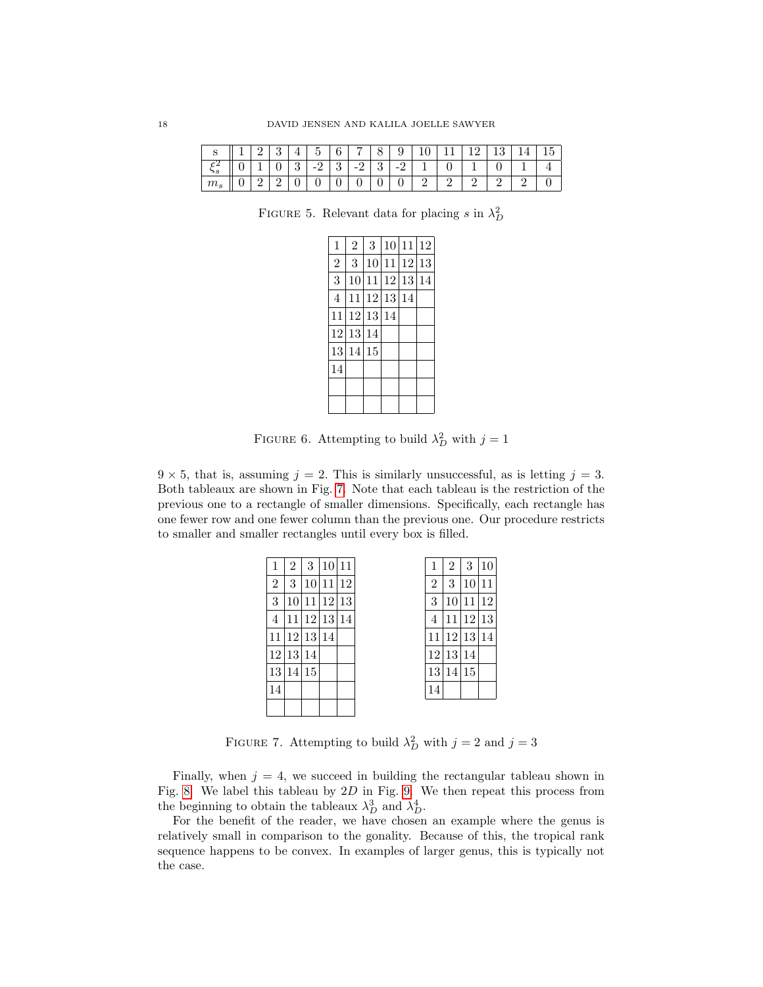|                 | -4 | ປ |               | $\overline{\phantom{0}}$<br>ь | $\sqrt{2}$ | - |   |   | ◡ |   | ల | $\sim$ |
|-----------------|----|---|---------------|-------------------------------|------------|---|---|---|---|---|---|--------|
|                 |    |   | $\Omega$<br>ಀ | $\Omega$<br>-                 | ບ          |   | ບ | - |   | ິ |   |        |
| 110c<br>$\circ$ | ັ  | 车 | ◡             | v                             | v          | ◡ | v | ັ |   |   |   |        |

FIGURE 5. Relevant data for placing s in  $\lambda_D^2$ 

<span id="page-17-0"></span>

| $\mathbf{1}$   | $\overline{2}$ | 3 |             | 10 11 12 |
|----------------|----------------|---|-------------|----------|
| $\overline{2}$ | 3              |   | 10 11 12 13 |          |
| 3              | 10             |   | 11 12 13 14 |          |
| 4              | 11             |   | 12 13 14    |          |
|                | 11 12 13 14    |   |             |          |
|                | 12 13 14       |   |             |          |
| 13             | 14 15          |   |             |          |
| 14             |                |   |             |          |
|                |                |   |             |          |
|                |                |   |             |          |

<span id="page-17-1"></span>FIGURE 6. Attempting to build  $\lambda_D^2$  with  $j = 1$ 

 $9 \times 5$ , that is, assuming  $j = 2$ . This is similarly unsuccessful, as is letting  $j = 3$ . Both tableaux are shown in Fig. [7.](#page-17-2) Note that each tableau is the restriction of the previous one to a rectangle of smaller dimensions. Specifically, each rectangle has one fewer row and one fewer column than the previous one. Our procedure restricts to smaller and smaller rectangles until every box is filled.

| 1              | 2     | 3     | 10       | 11 | 1              | 2               | 3     | 10 |
|----------------|-------|-------|----------|----|----------------|-----------------|-------|----|
| $\overline{2}$ | 3     | 10    | 11       | 12 | $\overline{2}$ | 3               | 10    | 11 |
| 3              | 10    | 11    | 12 13    |    | 3              | 10              | 11    | 12 |
| 4              | 11    |       | 12 13 14 |    | 4              | 11              | 12 13 |    |
| 11             |       | 12 13 | 14       |    | 11             |                 | 12 13 | 14 |
|                | 12 13 | 14    |          |    | 12             | <sup>13</sup>   | 14    |    |
| 13             | 14    | 15    |          |    | 13             | 14 <sup>1</sup> | 15    |    |
| 14             |       |       |          |    | 14             |                 |       |    |
|                |       |       |          |    |                |                 |       |    |

<span id="page-17-2"></span>FIGURE 7. Attempting to build  $\lambda_D^2$  with  $j = 2$  and  $j = 3$ 

Finally, when  $j = 4$ , we succeed in building the rectangular tableau shown in Fig. [8.](#page-18-1) We label this tableau by  $2D$  in Fig. [9.](#page-18-0) We then repeat this process from the beginning to obtain the tableaux  $\lambda_D^3$  and  $\lambda_D^4$ .

For the benefit of the reader, we have chosen an example where the genus is relatively small in comparison to the gonality. Because of this, the tropical rank sequence happens to be convex. In examples of larger genus, this is typically not the case.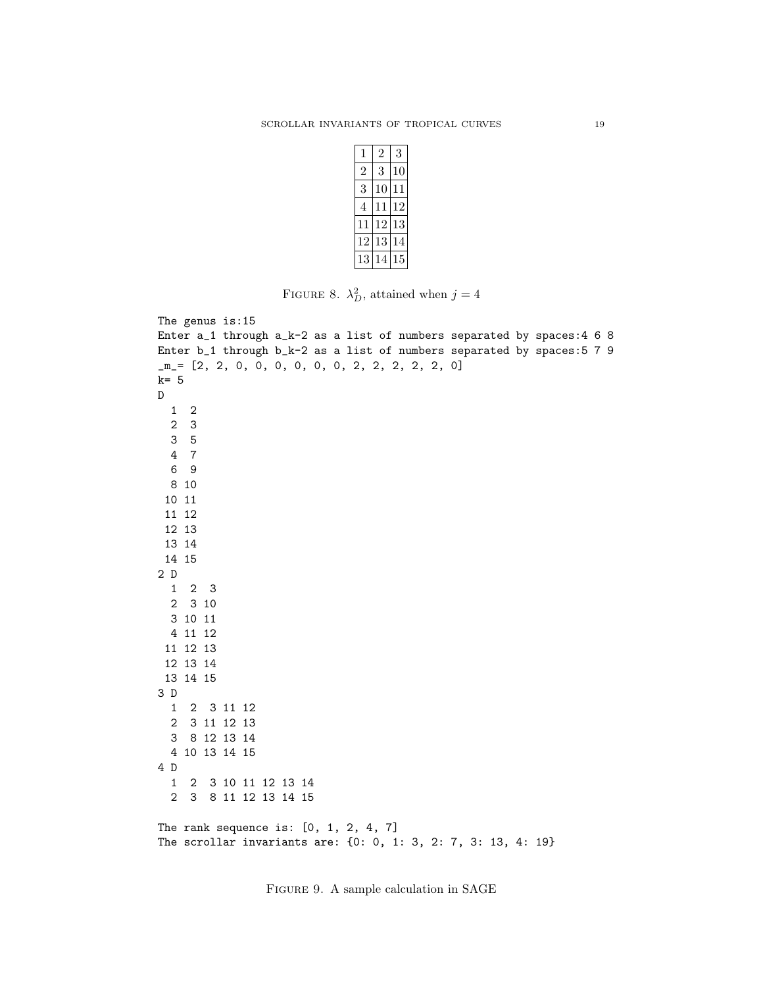| 1              | 2  | 3  |
|----------------|----|----|
| $\overline{2}$ | 3  | 10 |
| 3              | 10 | 11 |
| 4              | 11 | 12 |
| 11             | 12 | 13 |
| 12             | 13 | 14 |
| 13             | 14 | 15 |

<span id="page-18-1"></span>FIGURE 8.  $\lambda_D^2$ , attained when  $j = 4$ 

```
The genus is:15
Enter a_1 through a_k-2 as a list of numbers separated by spaces:4 6 8
Enter b_1 through b_k-2 as a list of numbers separated by spaces:5 7 9
_m_= [2, 2, 0, 0, 0, 0, 0, 0, 2, 2, 2, 2, 2, 0]
k= 5
D
 1 2
  2 3
  3 5
  4 7
 6 9
 8 10
 10 11
 11 12
12 13
13 14
14 15
2 D
 1 2 3
 2 3 10
 3 10 11
 4 11 12
 11 12 13
 12 13 14
13 14 15
3 D
  1 2 3 11 12
  2 3 11 12 13
 3 8 12 13 14
 4 10 13 14 15
4 D
  1 2 3 10 11 12 13 14
  2 3 8 11 12 13 14 15
The rank sequence is: [0, 1, 2, 4, 7]
The scrollar invariants are: {0: 0, 1: 3, 2: 7, 3: 13, 4: 19}
```
<span id="page-18-0"></span>Figure 9. A sample calculation in SAGE